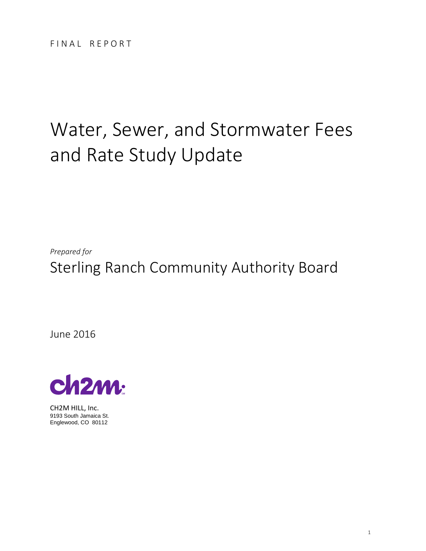# Water, Sewer, and Stormwater Fees and Rate Study Update

*Prepared for*  Sterling Ranch Community Authority Board

June 2016



CH2M HILL, Inc. 9193 South Jamaica St. Englewood, CO 80112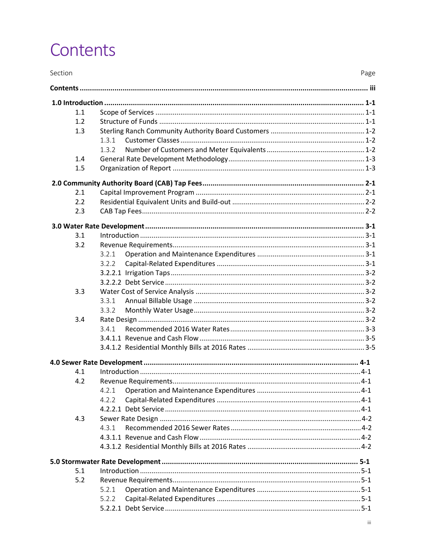# Contents

| Section |       | Page |
|---------|-------|------|
|         |       |      |
|         |       |      |
| 1.1     |       |      |
| 1.2     |       |      |
| 1.3     |       |      |
|         | 1.3.1 |      |
|         | 1.3.2 |      |
| 1.4     |       |      |
| 1.5     |       |      |
|         |       |      |
| 2.1     |       |      |
| 2.2     |       |      |
| 2.3     |       |      |
|         |       |      |
| 3.1     |       |      |
| 3.2     |       |      |
|         | 3.2.1 |      |
|         | 3.2.2 |      |
|         |       |      |
|         |       |      |
| 3.3     |       |      |
|         | 3.3.1 |      |
|         | 3.3.2 |      |
| 3.4     |       |      |
|         | 3.4.1 |      |
|         |       |      |
|         |       |      |
|         |       |      |
| 4.1     |       |      |
| 4.2     |       |      |
|         | 4.2.1 |      |
|         | 4.2.2 |      |
|         |       |      |
| 4.3     |       |      |
|         | 4.3.1 |      |
|         |       |      |
|         |       |      |
|         |       |      |
| 5.1     |       |      |
| 5.2     |       |      |
|         | 5.2.1 |      |
|         | 5.2.2 |      |
|         |       |      |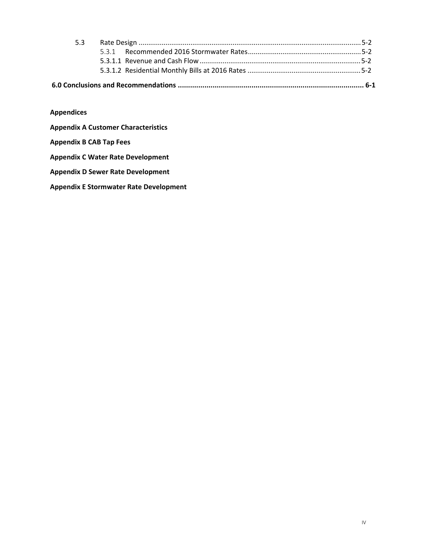| 5.3 |  |  |  |
|-----|--|--|--|
|     |  |  |  |
|     |  |  |  |
|     |  |  |  |
|     |  |  |  |

**Appendices** 

**Appendix A Customer Characteristics**

#### **Appendix B CAB Tap Fees**

#### **Appendix C Water Rate Development**

#### **Appendix D Sewer Rate Development**

**Appendix E Stormwater Rate Development**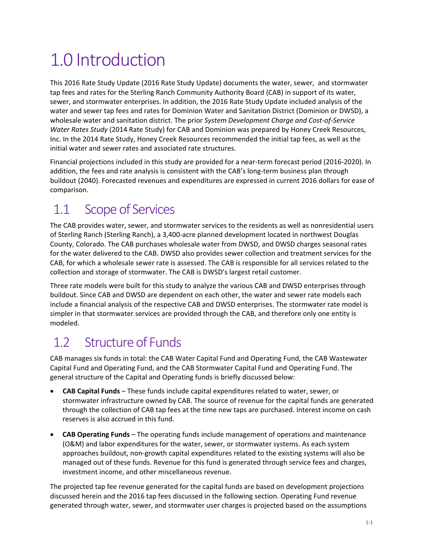# 1.0 Introduction

This 2016 Rate Study Update (2016 Rate Study Update) documents the water, sewer, and stormwater tap fees and rates for the Sterling Ranch Community Authority Board (CAB) in support of its water, sewer, and stormwater enterprises. In addition, the 2016 Rate Study Update included analysis of the water and sewer tap fees and rates for Dominion Water and Sanitation District (Dominion or DWSD), a wholesale water and sanitation district. The prior *System Development Charge and Cost‐of‐Service Water Rates Study* (2014 Rate Study) for CAB and Dominion was prepared by Honey Creek Resources, Inc. In the 2014 Rate Study, Honey Creek Resources recommended the initial tap fees, as well as the initial water and sewer rates and associated rate structures.

Financial projections included in this study are provided for a near-term forecast period (2016-2020). In addition, the fees and rate analysis is consistent with the CAB's long-term business plan through buildout (2040). Forecasted revenues and expenditures are expressed in current 2016 dollars for ease of comparison.

# 1.1 Scope of Services

The CAB provides water, sewer, and stormwater services to the residents as well as nonresidential users of Sterling Ranch (Sterling Ranch), a 3,400‐acre planned development located in northwest Douglas County, Colorado. The CAB purchases wholesale water from DWSD, and DWSD charges seasonal rates for the water delivered to the CAB. DWSD also provides sewer collection and treatment services for the CAB, for which a wholesale sewer rate is assessed. The CAB is responsible for all services related to the collection and storage of stormwater. The CAB is DWSD's largest retail customer.

Three rate models were built for this study to analyze the various CAB and DWSD enterprises through buildout. Since CAB and DWSD are dependent on each other, the water and sewer rate models each include a financial analysis of the respective CAB and DWSD enterprises. The stormwater rate model is simpler in that stormwater services are provided through the CAB, and therefore only one entity is modeled.

# 1.2 Structure of Funds

CAB manages six funds in total: the CAB Water Capital Fund and Operating Fund, the CAB Wastewater Capital Fund and Operating Fund, and the CAB Stormwater Capital Fund and Operating Fund. The general structure of the Capital and Operating funds is briefly discussed below:

- **CAB Capital Funds** These funds include capital expenditures related to water, sewer, or stormwater infrastructure owned by CAB. The source of revenue for the capital funds are generated through the collection of CAB tap fees at the time new taps are purchased. Interest income on cash reserves is also accrued in this fund.
- **CAB Operating Funds** The operating funds include management of operations and maintenance (O&M) and labor expenditures for the water, sewer, or stormwater systems. As each system approaches buildout, non‐growth capital expenditures related to the existing systems will also be managed out of these funds. Revenue for this fund is generated through service fees and charges, investment income, and other miscellaneous revenue.

The projected tap fee revenue generated for the capital funds are based on development projections discussed herein and the 2016 tap fees discussed in the following section. Operating Fund revenue generated through water, sewer, and stormwater user charges is projected based on the assumptions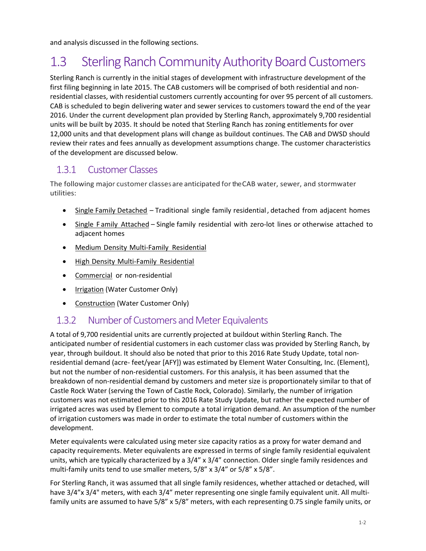and analysis discussed in the following sections.

# 1.3 Sterling Ranch Community Authority Board Customers

Sterling Ranch is currently in the initial stages of development with infrastructure development of the first filing beginning in late 2015. The CAB customers will be comprised of both residential and nonresidential classes, with residential customers currently accounting for over 95 percent of all customers. CAB is scheduled to begin delivering water and sewer services to customers toward the end of the year 2016. Under the current development plan provided by Sterling Ranch, approximately 9,700 residential units will be built by 2035. It should be noted that Sterling Ranch has zoning entitlements for over 12,000 units and that development plans will change as buildout continues. The CAB and DWSD should review their rates and fees annually as development assumptions change. The customer characteristics of the development are discussed below.

### 1.3.1 Customer Classes

The following major customer classesare anticipated fortheCAB water, sewer, and stormwater utilities:

- Single Family Detached Traditional single family residential, detached from adjacent homes
- Single Family Attached Single family residential with zero-lot lines or otherwise attached to adjacent homes
- Medium Density Multi-Family Residential
- High Density Multi-Family Residential
- Commercial or non-residential
- Irrigation (Water Customer Only)
- Construction (Water Customer Only)

### 1.3.2 Number of Customers and Meter Equivalents

A total of 9,700 residential units are currently projected at buildout within Sterling Ranch. The anticipated number of residential customers in each customer class was provided by Sterling Ranch, by year, through buildout. It should also be noted that prior to this 2016 Rate Study Update, total non‐ residential demand (acre‐ feet/year [AFY]) was estimated by Element Water Consulting, Inc. (Element), but not the number of non‐residential customers. For this analysis, it has been assumed that the breakdown of non-residential demand by customers and meter size is proportionately similar to that of Castle Rock Water (serving the Town of Castle Rock, Colorado). Similarly, the number of irrigation customers was not estimated prior to this 2016 Rate Study Update, but rather the expected number of irrigated acres was used by Element to compute a total irrigation demand. An assumption of the number of irrigation customers was made in order to estimate the total number of customers within the development.

Meter equivalents were calculated using meter size capacity ratios as a proxy for water demand and capacity requirements. Meter equivalents are expressed in terms of single family residential equivalent units, which are typically characterized by a 3/4" x 3/4" connection. Older single family residences and multi-family units tend to use smaller meters,  $5/8''$  x  $3/4''$  or  $5/8''$  x  $5/8''$ .

For Sterling Ranch, it was assumed that all single family residences, whether attached or detached, will have  $3/4$ "x  $3/4$ " meters, with each  $3/4$ " meter representing one single family equivalent unit. All multifamily units are assumed to have 5/8" x 5/8" meters, with each representing 0.75 single family units, or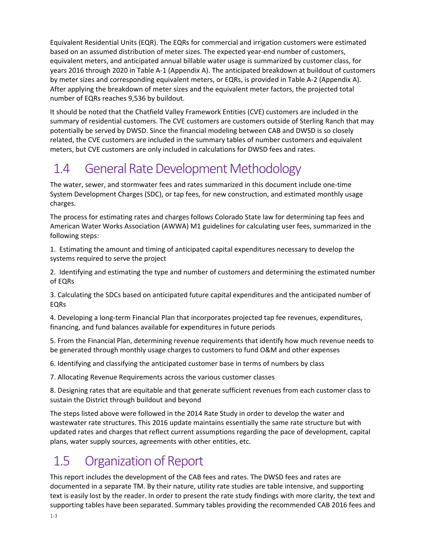Equivalent Residential Units (EQR). The EQRs for commercial and irrigation customers were estimated based on an assumed distribution of meter sizes. The expected year-end number of customers, equivalent meters, and anticipated annual billable water usage is summarized by customer class, for years 2016 through 2020 in Table A‐1 (Appendix A). The anticipated breakdown at buildout of customers by meter sizes and corresponding equivalent meters, or EQRs, is provided in Table A‐2 (Appendix A). After applying the breakdown of meter sizes and the equivalent meter factors, the projected total number of EQRs reaches 9,536 by buildout.

It should be noted that the Chatfield Valley Framework Entities (CVE) customers are included in the summary of residential customers. The CVE customers are customers outside of Sterling Ranch that may potentially be served by DWSD. Since the financial modeling between CAB and DWSD is so closely related, the CVE customers are included in the summary tables of number customers and equivalent meters, but CVE customers are only included in calculations for DWSD fees and rates.

# 1.4 General Rate Development Methodology

The water, sewer, and stormwater fees and rates summarized in this document include one‐time System Development Charges (SDC), or tap fees, for new construction, and estimated monthly usage charges.

The process for estimating rates and charges follows Colorado State law for determining tap fees and American Water Works Association (AWWA) M1 guidelines for calculating user fees, summarized in the following steps:

1. Estimating the amount and timing of anticipated capital expenditures necessary to develop the systems required to serve the project

2. Identifying and estimating the type and number of customers and determining the estimated number of EQRs

3. Calculating the SDCs based on anticipated future capital expenditures and the anticipated number of EQRs

4. Developing a long‐term Financial Plan that incorporates projected tap fee revenues, expenditures, financing, and fund balances available for expenditures in future periods

5. From the Financial Plan, determining revenue requirements that identify how much revenue needs to be generated through monthly usage charges to customers to fund O&M and other expenses

6. Identifying and classifying the anticipated customer base in terms of numbers by class

7. Allocating Revenue Requirements across the various customer classes

8. Designing rates that are equitable and that generate sufficient revenues from each customer class to sustain the District through buildout and beyond

The steps listed above were followed in the 2014 Rate Study in order to develop the water and wastewater rate structures. This 2016 update maintains essentially the same rate structure but with updated rates and charges that reflect current assumptions regarding the pace of development, capital plans, water supply sources, agreements with other entities, etc.

# 1.5 Organization of Report

This report includes the development of the CAB fees and rates. The DWSD fees and rates are documented in a separate TM. By their nature, utility rate studies are table intensive, and supporting text is easily lost by the reader. In order to present the rate study findings with more clarity, the text and supporting tables have been separated. Summary tables providing the recommended CAB 2016 fees and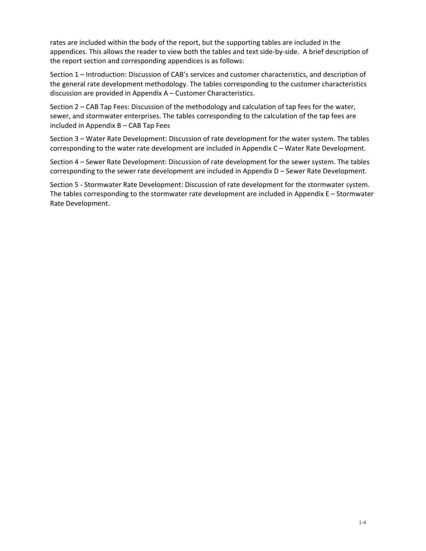rates are included within the body of the report, but the supporting tables are included in the appendices. This allows the reader to view both the tables and text side‐by‐side. A brief description of the report section and corresponding appendices is as follows:

Section 1 – Introduction: Discussion of CAB's services and customer characteristics, and description of the general rate development methodology. The tables corresponding to the customer characteristics discussion are provided in Appendix A – Customer Characteristics.

Section 2 – CAB Tap Fees: Discussion of the methodology and calculation of tap fees for the water, sewer, and stormwater enterprises. The tables corresponding to the calculation of the tap fees are included in Appendix B – CAB Tap Fees

Section 3 – Water Rate Development: Discussion of rate development for the water system. The tables corresponding to the water rate development are included in Appendix C – Water Rate Development.

Section 4 – Sewer Rate Development: Discussion of rate development for the sewer system. The tables corresponding to the sewer rate development are included in Appendix D – Sewer Rate Development.

Section 5 ‐ Stormwater Rate Development: Discussion of rate development for the stormwater system. The tables corresponding to the stormwater rate development are included in Appendix E – Stormwater Rate Development.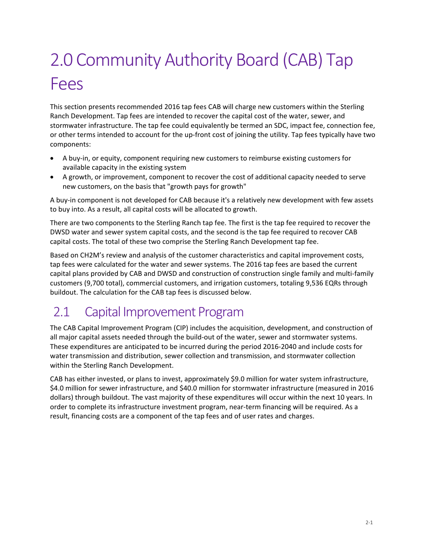# 2.0 Community Authority Board (CAB) Tap Fees

This section presents recommended 2016 tap fees CAB will charge new customers within the Sterling Ranch Development. Tap fees are intended to recover the capital cost of the water, sewer, and stormwater infrastructure. The tap fee could equivalently be termed an SDC, impact fee, connection fee, or other terms intended to account for the up‐front cost of joining the utility. Tap fees typically have two components:

- A buy‐in, or equity, component requiring new customers to reimburse existing customers for available capacity in the existing system
- A growth, or improvement, component to recover the cost of additional capacity needed to serve new customers, on the basis that "growth pays for growth"

A buy‐in component is not developed for CAB because it's a relatively new development with few assets to buy into. As a result, all capital costs will be allocated to growth.

There are two components to the Sterling Ranch tap fee. The first is the tap fee required to recover the DWSD water and sewer system capital costs, and the second is the tap fee required to recover CAB capital costs. The total of these two comprise the Sterling Ranch Development tap fee.

Based on CH2M's review and analysis of the customer characteristics and capital improvement costs, tap fees were calculated for the water and sewer systems. The 2016 tap fees are based the current capital plans provided by CAB and DWSD and construction of construction single family and multi‐family customers (9,700 total), commercial customers, and irrigation customers, totaling 9,536 EQRs through buildout. The calculation for the CAB tap fees is discussed below.

# 2.1 Capital Improvement Program

The CAB Capital Improvement Program (CIP) includes the acquisition, development, and construction of all major capital assets needed through the build‐out of the water, sewer and stormwater systems. These expenditures are anticipated to be incurred during the period 2016‐2040 and include costs for water transmission and distribution, sewer collection and transmission, and stormwater collection within the Sterling Ranch Development.

CAB has either invested, or plans to invest, approximately \$9.0 million for water system infrastructure, \$4.0 million for sewer infrastructure, and \$40.0 million for stormwater infrastructure (measured in 2016 dollars) through buildout. The vast majority of these expenditures will occur within the next 10 years. In order to complete its infrastructure investment program, near‐term financing will be required. As a result, financing costs are a component of the tap fees and of user rates and charges.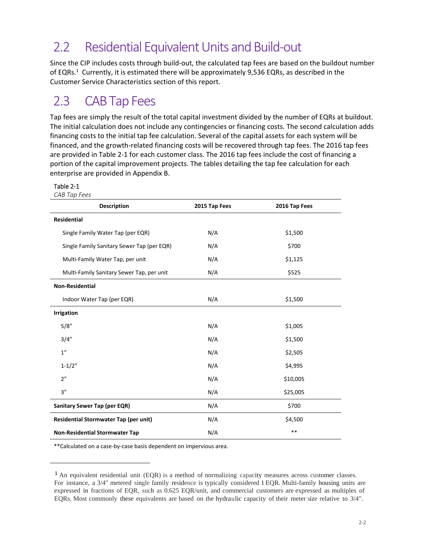## 2.2 Residential Equivalent Units and Build-out

Since the CIP includes costs through build-out, the calculated tap fees are based on the buildout number of EQRs.<sup>1</sup> Currently, it is estimated there will be approximately 9,536 EQRs, as described in the Customer Service Characteristics section of this report.

## 2.3 CAB Tap Fees

Tap fees are simply the result of the total capital investment divided by the number of EQRs at buildout. The initial calculation does not include any contingencies or financing costs. The second calculation adds financing costs to the initial tap fee calculation. Several of the capital assets for each system will be financed, and the growth‐related financing costs will be recovered through tap fees. The 2016 tap fees are provided in Table 2‐1 for each customer class. The 2016 tap fees include the cost of financing a portion of the capital improvement projects. The tables detailing the tap fee calculation for each enterprise are provided in Appendix B.

#### Table 2‐1

| CAB Tap Fees                               |               |               |
|--------------------------------------------|---------------|---------------|
| <b>Description</b>                         | 2015 Tap Fees | 2016 Tap Fees |
| <b>Residential</b>                         |               |               |
| Single Family Water Tap (per EQR)          | N/A           | \$1,500       |
| Single Family Sanitary Sewer Tap (per EQR) | N/A           | \$700         |
| Multi-Family Water Tap, per unit           | N/A           | \$1,125       |
| Multi-Family Sanitary Sewer Tap, per unit  | N/A           | \$525         |
| <b>Non-Residential</b>                     |               |               |
| Indoor Water Tap (per EQR)                 | N/A           | \$1,500       |
| <b>Irrigation</b>                          |               |               |
| 5/8''                                      | N/A           | \$1,005       |
| 3/4''                                      | N/A           | \$1,500       |
| 1 <sup>''</sup>                            | N/A           | \$2,505       |
| $1 - 1/2"$                                 | N/A           | \$4,995       |
| 2"                                         | N/A           | \$10,005      |
| 3''                                        | N/A           | \$25,005      |
| Sanitary Sewer Tap (per EQR)               | N/A           | \$700         |
| Residential Stormwater Tap (per unit)      | N/A           | \$4,500       |
| <b>Non-Residential Stormwater Tap</b>      | N/A           | $***$         |

\*\*Calculated on a case‐by‐case basis dependent on impervious area.

<sup>1</sup> An equivalent residential unit (EQR) is a method of normalizing capacity measures across customer classes. For instance, a 3/4" metered single family residence is typically considered 1 EQR. Multi-family housing units are expressed in fractions of EQR, such as 0.625 EQR/unit, and commercial customers are expressed as multiples of EQRs. Most commonly these equivalents are based on the hydraulic capacity of their meter size relative to 3/4".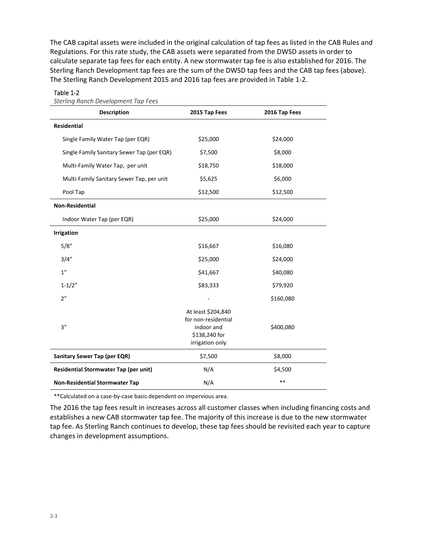The CAB capital assets were included in the original calculation of tap fees as listed in the CAB Rules and Regulations. For this rate study, the CAB assets were separated from the DWSD assets in order to calculate separate tap fees for each entity. A new stormwater tap fee is also established for 2016. The Sterling Ranch Development tap fees are the sum of the DWSD tap fees and the CAB tap fees (above). The Sterling Ranch Development 2015 and 2016 tap fees are provided in Table 1‐2.

| <b>Sterling Ranch Development Tap Fees</b>   |                                                                                             |               |  |  |  |  |
|----------------------------------------------|---------------------------------------------------------------------------------------------|---------------|--|--|--|--|
| <b>Description</b>                           | 2015 Tap Fees                                                                               | 2016 Tap Fees |  |  |  |  |
| Residential                                  |                                                                                             |               |  |  |  |  |
| Single Family Water Tap (per EQR)            | \$25,000                                                                                    | \$24,000      |  |  |  |  |
| Single Family Sanitary Sewer Tap (per EQR)   | \$7,500                                                                                     | \$8,000       |  |  |  |  |
| Multi-Family Water Tap, per unit             | \$18,750                                                                                    | \$18,000      |  |  |  |  |
| Multi-Family Sanitary Sewer Tap, per unit    | \$5,625                                                                                     | \$6,000       |  |  |  |  |
| Pool Tap                                     | \$12,500                                                                                    | \$12,500      |  |  |  |  |
| <b>Non-Residential</b>                       |                                                                                             |               |  |  |  |  |
| Indoor Water Tap (per EQR)                   | \$25,000                                                                                    | \$24,000      |  |  |  |  |
| <b>Irrigation</b>                            |                                                                                             |               |  |  |  |  |
| 5/8''                                        | \$16,667                                                                                    | \$16,080      |  |  |  |  |
| 3/4''                                        | \$25,000                                                                                    | \$24,000      |  |  |  |  |
| 1"                                           | \$41,667                                                                                    | \$40,080      |  |  |  |  |
| $1 - 1/2"$                                   | \$83,333                                                                                    | \$79,920      |  |  |  |  |
| 2"                                           |                                                                                             | \$160,080     |  |  |  |  |
| 3''                                          | At least \$204,840<br>for non-residential<br>indoor and<br>\$138,240 for<br>irrigation only | \$400,080     |  |  |  |  |
| Sanitary Sewer Tap (per EQR)                 | \$7,500                                                                                     | \$8,000       |  |  |  |  |
| <b>Residential Stormwater Tap (per unit)</b> | N/A                                                                                         | \$4,500       |  |  |  |  |
| <b>Non-Residential Stormwater Tap</b>        | N/A                                                                                         | $**$          |  |  |  |  |

#### Table 1‐2

\*\*Calculated on a case‐by‐case basis dependent on impervious area.

The 2016 the tap fees result in increases across all customer classes when including financing costs and establishes a new CAB stormwater tap fee. The majority of this increase is due to the new stormwater tap fee. As Sterling Ranch continues to develop, these tap fees should be revisited each year to capture changes in development assumptions.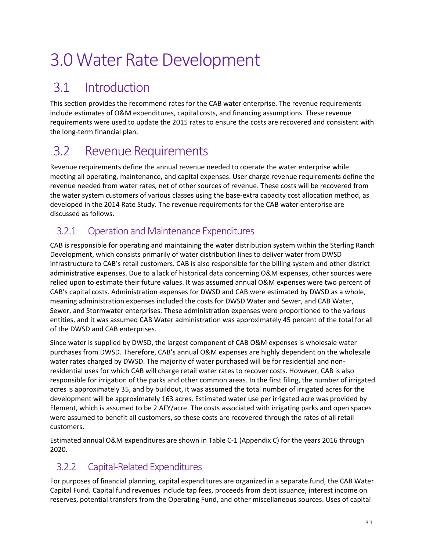# 3.0 Water Rate Development

# 3.1 Introduction

This section provides the recommend rates for the CAB water enterprise. The revenue requirements include estimates of O&M expenditures, capital costs, and financing assumptions. These revenue requirements were used to update the 2015 rates to ensure the costs are recovered and consistent with the long‐term financial plan.

## 3.2 Revenue Requirements

Revenue requirements define the annual revenue needed to operate the water enterprise while meeting all operating, maintenance, and capital expenses. User charge revenue requirements define the revenue needed from water rates, net of other sources of revenue. These costs will be recovered from the water system customers of various classes using the base-extra capacity cost allocation method, as developed in the 2014 Rate Study. The revenue requirements for the CAB water enterprise are discussed as follows.

### 3.2.1 Operation and Maintenance Expenditures

CAB is responsible for operating and maintaining the water distribution system within the Sterling Ranch Development, which consists primarily of water distribution lines to deliver water from DWSD infrastructure to CAB's retail customers. CAB is also responsible for the billing system and other district administrative expenses. Due to a lack of historical data concerning O&M expenses, other sources were relied upon to estimate their future values. It was assumed annual O&M expenses were two percent of CAB's capital costs. Administration expenses for DWSD and CAB were estimated by DWSD as a whole, meaning administration expenses included the costs for DWSD Water and Sewer, and CAB Water, Sewer, and Stormwater enterprises. These administration expenses were proportioned to the various entities, and it was assumed CAB Water administration was approximately 45 percent of the total for all of the DWSD and CAB enterprises.

Since water is supplied by DWSD, the largest component of CAB O&M expenses is wholesale water purchases from DWSD. Therefore, CAB's annual O&M expenses are highly dependent on the wholesale water rates charged by DWSD. The majority of water purchased will be for residential and nonresidential uses for which CAB will charge retail water rates to recover costs. However, CAB is also responsible for irrigation of the parks and other common areas. In the first filing, the number of irrigated acres is approximately 35, and by buildout, it was assumed the total number of irrigated acres for the development will be approximately 163 acres. Estimated water use per irrigated acre was provided by Element, which is assumed to be 2 AFY/acre. The costs associated with irrigating parks and open spaces were assumed to benefit all customers, so these costs are recovered through the rates of all retail customers.

Estimated annual O&M expenditures are shown in Table C‐1 (Appendix C) for the years 2016 through 2020.

## 3.2.2 Capital-Related Expenditures

For purposes of financial planning, capital expenditures are organized in a separate fund, the CAB Water Capital Fund. Capital fund revenues include tap fees, proceeds from debt issuance, interest income on reserves, potential transfers from the Operating Fund, and other miscellaneous sources. Uses of capital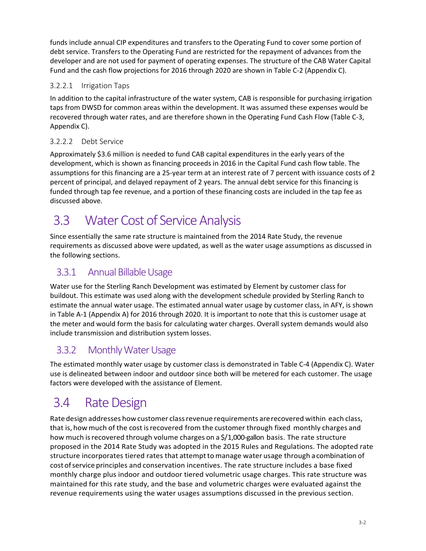funds include annual CIP expenditures and transfers to the Operating Fund to cover some portion of debt service. Transfers to the Operating Fund are restricted for the repayment of advances from the developer and are not used for payment of operating expenses. The structure of the CAB Water Capital Fund and the cash flow projections for 2016 through 2020 are shown in Table C‐2 (Appendix C).

#### 3.2.2.1 Irrigation Taps

In addition to the capital infrastructure of the water system, CAB is responsible for purchasing irrigation taps from DWSD for common areas within the development. It was assumed these expenses would be recovered through water rates, and are therefore shown in the Operating Fund Cash Flow (Table C‐3, Appendix C).

#### 3.2.2.2 Debt Service

Approximately \$3.6 million is needed to fund CAB capital expenditures in the early years of the development, which is shown as financing proceeds in 2016 in the Capital Fund cash flow table. The assumptions for this financing are a 25‐year term at an interest rate of 7 percent with issuance costs of 2 percent of principal, and delayed repayment of 2 years. The annual debt service for this financing is funded through tap fee revenue, and a portion of these financing costs are included in the tap fee as discussed above.

## 3.3 Water Cost of Service Analysis

Since essentially the same rate structure is maintained from the 2014 Rate Study, the revenue requirements as discussed above were updated, as well as the water usage assumptions as discussed in the following sections.

## 3.3.1 Annual Billable Usage

Water use for the Sterling Ranch Development was estimated by Element by customer class for buildout. This estimate was used along with the development schedule provided by Sterling Ranch to estimate the annual water usage. The estimated annual water usage by customer class, in AFY, is shown in Table A‐1 (Appendix A) for 2016 through 2020. It is important to note that this is customer usage at the meter and would form the basis for calculating water charges. Overall system demands would also include transmission and distribution system losses.

## 3.3.2 Monthly Water Usage

The estimated monthly water usage by customer class is demonstrated in Table C‐4 (Appendix C). Water use is delineated between indoor and outdoor since both will be metered for each customer. The usage factors were developed with the assistance of Element.

## 3.4 Rate Design

Rate design addresses how customer class revenue requirements are recovered within each class, that is, how much of the cost is recovered from the customer through fixed monthly charges and how much is recovered through volume charges on a \$/1,000-gallon basis. The rate structure proposed in the 2014 Rate Study was adopted in the 2015 Rules and Regulations. The adopted rate structure incorporates tiered rates that attempt to manage water usage through a combination of cost ofservice principles and conservation incentives. The rate structure includes a base fixed monthly charge plus indoor and outdoor tiered volumetric usage charges. This rate structure was maintained for this rate study, and the base and volumetric charges were evaluated against the revenue requirements using the water usages assumptions discussed in the previous section.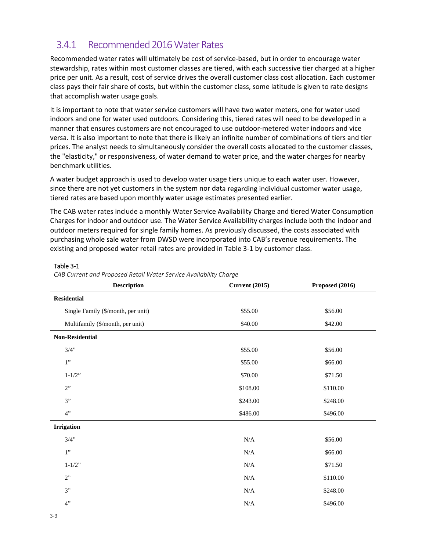### 3.4.1 Recommended 2016 Water Rates

Recommended water rates will ultimately be cost of service‐based, but in order to encourage water stewardship, rates within most customer classes are tiered, with each successive tier charged at a higher price per unit. As a result, cost of service drives the overall customer class cost allocation. Each customer class pays their fair share of costs, but within the customer class, some latitude is given to rate designs that accomplish water usage goals.

It is important to note that water service customers will have two water meters, one for water used indoors and one for water used outdoors. Considering this, tiered rates will need to be developed in a manner that ensures customers are not encouraged to use outdoor‐metered water indoors and vice versa. It is also important to note that there is likely an infinite number of combinations of tiers and tier prices. The analyst needs to simultaneously consider the overall costs allocated to the customer classes, the "elasticity," or responsiveness, of water demand to water price, and the water charges for nearby benchmark utilities.

A water budget approach is used to develop water usage tiers unique to each water user. However, since there are not yet customers in the system nor data regarding individual customer water usage, tiered rates are based upon monthly water usage estimates presented earlier.

The CAB water rates include a monthly Water Service Availability Charge and tiered Water Consumption Charges for indoor and outdoor use. The Water Service Availability charges include both the indoor and outdoor meters required for single family homes. As previously discussed, the costs associated with purchasing whole sale water from DWSD were incorporated into CAB's revenue requirements. The existing and proposed water retail rates are provided in Table 3‐1 by customer class.

| Proposed (2016)<br><b>Description</b><br><b>Current (2015)</b> |           |          |  |  |  |  |
|----------------------------------------------------------------|-----------|----------|--|--|--|--|
| <b>Residential</b>                                             |           |          |  |  |  |  |
| Single Family (\$/month, per unit)                             | \$55.00   | \$56.00  |  |  |  |  |
| Multifamily (\$/month, per unit)                               | \$40.00   | \$42.00  |  |  |  |  |
| <b>Non-Residential</b>                                         |           |          |  |  |  |  |
| 3/4"                                                           | \$55.00   | \$56.00  |  |  |  |  |
| 1"                                                             | \$55.00   | \$66.00  |  |  |  |  |
| $1 - 1/2$ "                                                    | \$70.00   | \$71.50  |  |  |  |  |
| 2"                                                             | \$108.00  | \$110.00 |  |  |  |  |
| 3"                                                             | \$243.00  | \$248.00 |  |  |  |  |
| 4"                                                             | \$486.00  | \$496.00 |  |  |  |  |
| <b>Irrigation</b>                                              |           |          |  |  |  |  |
| 3/4"                                                           | $\rm N/A$ | \$56.00  |  |  |  |  |
| 1"                                                             | N/A       | \$66.00  |  |  |  |  |
| $1 - 1/2$ "                                                    | N/A       | \$71.50  |  |  |  |  |
| 2"                                                             | $\rm N/A$ | \$110.00 |  |  |  |  |
| 3"                                                             | $\rm N/A$ | \$248.00 |  |  |  |  |
| 4"                                                             | $\rm N/A$ | \$496.00 |  |  |  |  |

#### Table 3‐1

*CAB Current and Proposed Retail Water Service Availability Charge*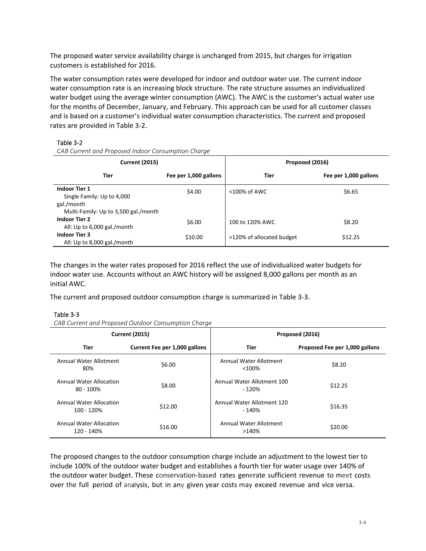The proposed water service availability charge is unchanged from 2015, but charges for irrigation customers is established for 2016.

The water consumption rates were developed for indoor and outdoor water use. The current indoor water consumption rate is an increasing block structure. The rate structure assumes an individualized water budget using the average winter consumption (AWC). The AWC is the customer's actual water use for the months of December, January, and February. This approach can be used for all customer classes and is based on a customer's individual water consumption characteristics. The current and proposed rates are provided in Table 3‐2.

#### Table 3‐2

*CAB Current and Proposed Indoor Consumption Charge* 

| <b>Current (2015)</b>                                                                                    |                       | Proposed (2016)           |                       |  |
|----------------------------------------------------------------------------------------------------------|-----------------------|---------------------------|-----------------------|--|
| Tier                                                                                                     | Fee per 1,000 gallons | Tier                      | Fee per 1,000 gallons |  |
| <b>Indoor Tier 1</b><br>Single Family: Up to 4,000<br>gal./month<br>Multi-Family: Up to 3,500 gal./month | \$4.00                | <100% of AWC              | \$6.65                |  |
| <b>Indoor Tier 2</b><br>All: Up to 6,000 gal./month                                                      | \$6.00                | 100 to 120% AWC           | \$8.20                |  |
| <b>Indoor Tier 3</b><br>All: Up to 8,000 gal./month                                                      | \$10.00               | >120% of allocated budget | \$12.25               |  |

The changes in the water rates proposed for 2016 reflect the use of individualized water budgets for indoor water use. Accounts without an AWC history will be assigned 8,000 gallons per month as an initial AWC.

The current and proposed outdoor consumption charge is summarized in Table 3‐3.

#### Table 3‐3

*CAB Current and Proposed Outdoor Consumption Charge* 

|                                                | <b>Current (2015)</b>         | Proposed (2016)                      |                                |  |  |
|------------------------------------------------|-------------------------------|--------------------------------------|--------------------------------|--|--|
| Tier                                           | Current Fee per 1,000 gallons | Tier                                 | Proposed Fee per 1,000 gallons |  |  |
| Annual Water Allotment<br>80%                  | \$6.00                        | Annual Water Allotment<br>$< 100\%$  | \$8.20                         |  |  |
| <b>Annual Water Allocation</b><br>$80 - 100\%$ | \$8.00                        | Annual Water Allotment 100<br>- 120% | \$12.25                        |  |  |
| <b>Annual Water Allocation</b><br>100 - 120%   | \$12.00                       | Annual Water Allotment 120<br>- 140% | \$16.35                        |  |  |
| <b>Annual Water Allocation</b><br>120 - 140%   | \$16.00                       | Annual Water Allotment<br>>140%      | \$20.00                        |  |  |

The proposed changes to the outdoor consumption charge include an adjustment to the lowest tier to include 100% of the outdoor water budget and establishes a fourth tier for water usage over 140% of the outdoor water budget. These conservation‐based rates generate sufficient revenue to meet costs over the full period of analysis, but in any given year costs may exceed revenue and vice versa.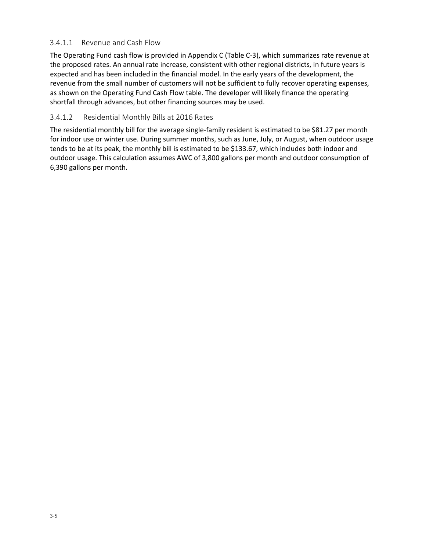#### 3.4.1.1 Revenue and Cash Flow

The Operating Fund cash flow is provided in Appendix C (Table C‐3), which summarizes rate revenue at the proposed rates. An annual rate increase, consistent with other regional districts, in future years is expected and has been included in the financial model. In the early years of the development, the revenue from the small number of customers will not be sufficient to fully recover operating expenses, as shown on the Operating Fund Cash Flow table. The developer will likely finance the operating shortfall through advances, but other financing sources may be used.

#### 3.4.1.2 Residential Monthly Bills at 2016 Rates

The residential monthly bill for the average single-family resident is estimated to be \$81.27 per month for indoor use or winter use. During summer months, such as June, July, or August, when outdoor usage tends to be at its peak, the monthly bill is estimated to be \$133.67, which includes both indoor and outdoor usage. This calculation assumes AWC of 3,800 gallons per month and outdoor consumption of 6,390 gallons per month.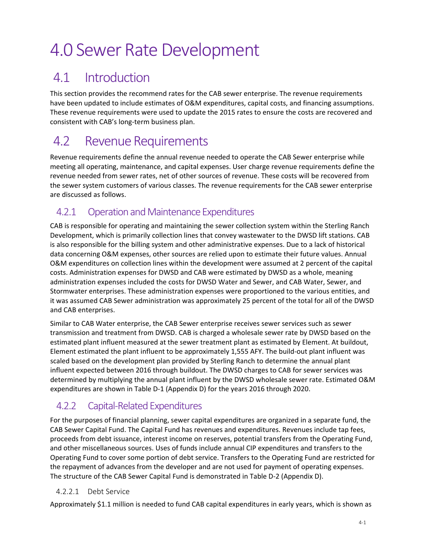# 4.0 Sewer Rate Development

## 4.1 Introduction

This section provides the recommend rates for the CAB sewer enterprise. The revenue requirements have been updated to include estimates of O&M expenditures, capital costs, and financing assumptions. These revenue requirements were used to update the 2015 rates to ensure the costs are recovered and consistent with CAB's long‐term business plan.

## 4.2 Revenue Requirements

Revenue requirements define the annual revenue needed to operate the CAB Sewer enterprise while meeting all operating, maintenance, and capital expenses. User charge revenue requirements define the revenue needed from sewer rates, net of other sources of revenue. These costs will be recovered from the sewer system customers of various classes. The revenue requirements for the CAB sewer enterprise are discussed as follows.

### 4.2.1 Operation and Maintenance Expenditures

CAB is responsible for operating and maintaining the sewer collection system within the Sterling Ranch Development, which is primarily collection lines that convey wastewater to the DWSD lift stations. CAB is also responsible for the billing system and other administrative expenses. Due to a lack of historical data concerning O&M expenses, other sources are relied upon to estimate their future values. Annual O&M expenditures on collection lines within the development were assumed at 2 percent of the capital costs. Administration expenses for DWSD and CAB were estimated by DWSD as a whole, meaning administration expenses included the costs for DWSD Water and Sewer, and CAB Water, Sewer, and Stormwater enterprises. These administration expenses were proportioned to the various entities, and it was assumed CAB Sewer administration was approximately 25 percent of the total for all of the DWSD and CAB enterprises.

Similar to CAB Water enterprise, the CAB Sewer enterprise receives sewer services such as sewer transmission and treatment from DWSD. CAB is charged a wholesale sewer rate by DWSD based on the estimated plant influent measured at the sewer treatment plant as estimated by Element. At buildout, Element estimated the plant influent to be approximately 1,555 AFY. The build-out plant influent was scaled based on the development plan provided by Sterling Ranch to determine the annual plant influent expected between 2016 through buildout. The DWSD charges to CAB for sewer services was determined by multiplying the annual plant influent by the DWSD wholesale sewer rate. Estimated O&M expenditures are shown in Table D‐1 (Appendix D) for the years 2016 through 2020.

## 4.2.2 Capital-Related Expenditures

For the purposes of financial planning, sewer capital expenditures are organized in a separate fund, the CAB Sewer Capital Fund. The Capital Fund has revenues and expenditures. Revenues include tap fees, proceeds from debt issuance, interest income on reserves, potential transfers from the Operating Fund, and other miscellaneous sources. Uses of funds include annual CIP expenditures and transfers to the Operating Fund to cover some portion of debt service. Transfers to the Operating Fund are restricted for the repayment of advances from the developer and are not used for payment of operating expenses. The structure of the CAB Sewer Capital Fund is demonstrated in Table D‐2 (Appendix D).

#### 4.2.2.1 Debt Service

Approximately \$1.1 million is needed to fund CAB capital expenditures in early years, which is shown as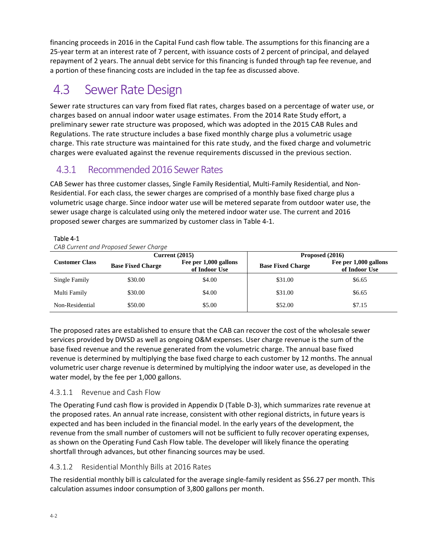financing proceeds in 2016 in the Capital Fund cash flow table. The assumptions for this financing are a 25‐year term at an interest rate of 7 percent, with issuance costs of 2 percent of principal, and delayed repayment of 2 years. The annual debt service for this financing is funded through tap fee revenue, and a portion of these financing costs are included in the tap fee as discussed above.

## 4.3 Sewer Rate Design

Sewer rate structures can vary from fixed flat rates, charges based on a percentage of water use, or charges based on annual indoor water usage estimates. From the 2014 Rate Study effort, a preliminary sewer rate structure was proposed, which was adopted in the 2015 CAB Rules and Regulations. The rate structure includes a base fixed monthly charge plus a volumetric usage charge. This rate structure was maintained for this rate study, and the fixed charge and volumetric charges were evaluated against the revenue requirements discussed in the previous section.

## 4.3.1 Recommended 2016 Sewer Rates

CAB Sewer has three customer classes, Single Family Residential, Multi‐Family Residential, and Non‐ Residential. For each class, the sewer charges are comprised of a monthly base fixed charge plus a volumetric usage charge. Since indoor water use will be metered separate from outdoor water use, the sewer usage charge is calculated using only the metered indoor water use. The current and 2016 proposed sewer charges are summarized by customer class in Table 4‐1.

| CAB Current and Proposed Sewer Charge |                          |                                        |                          |                                        |  |  |  |
|---------------------------------------|--------------------------|----------------------------------------|--------------------------|----------------------------------------|--|--|--|
|                                       |                          | Current $(2015)$                       | Proposed (2016)          |                                        |  |  |  |
| <b>Customer Class</b>                 | <b>Base Fixed Charge</b> | Fee per 1,000 gallons<br>of Indoor Use | <b>Base Fixed Charge</b> | Fee per 1,000 gallons<br>of Indoor Use |  |  |  |
| Single Family                         | \$30.00                  | \$4.00                                 | \$31.00                  | \$6.65                                 |  |  |  |
| Multi Family                          | \$30.00                  | \$4.00                                 | \$31.00                  | \$6.65                                 |  |  |  |
| Non-Residential                       | \$50.00                  | \$5.00                                 | \$52.00                  | \$7.15                                 |  |  |  |

#### Table 4‐1

The proposed rates are established to ensure that the CAB can recover the cost of the wholesale sewer services provided by DWSD as well as ongoing O&M expenses. User charge revenue is the sum of the base fixed revenue and the revenue generated from the volumetric charge. The annual base fixed revenue is determined by multiplying the base fixed charge to each customer by 12 months. The annual volumetric user charge revenue is determined by multiplying the indoor water use, as developed in the water model, by the fee per 1,000 gallons.

#### 4.3.1.1 Revenue and Cash Flow

The Operating Fund cash flow is provided in Appendix D (Table D‐3), which summarizes rate revenue at the proposed rates. An annual rate increase, consistent with other regional districts, in future years is expected and has been included in the financial model. In the early years of the development, the revenue from the small number of customers will not be sufficient to fully recover operating expenses, as shown on the Operating Fund Cash Flow table. The developer will likely finance the operating shortfall through advances, but other financing sources may be used.

#### 4.3.1.2 Residential Monthly Bills at 2016 Rates

The residential monthly bill is calculated for the average single‐family resident as \$56.27 per month. This calculation assumes indoor consumption of 3,800 gallons per month.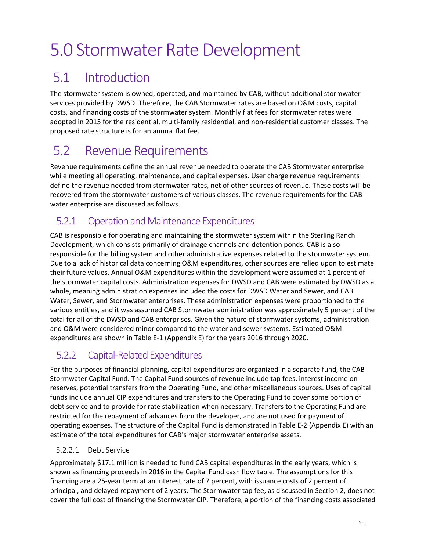# 5.0 Stormwater Rate Development

# 5.1 Introduction

The stormwater system is owned, operated, and maintained by CAB, without additional stormwater services provided by DWSD. Therefore, the CAB Stormwater rates are based on O&M costs, capital costs, and financing costs of the stormwater system. Monthly flat fees for stormwater rates were adopted in 2015 for the residential, multi‐family residential, and non‐residential customer classes. The proposed rate structure is for an annual flat fee.

## 5.2 Revenue Requirements

Revenue requirements define the annual revenue needed to operate the CAB Stormwater enterprise while meeting all operating, maintenance, and capital expenses. User charge revenue requirements define the revenue needed from stormwater rates, net of other sources of revenue. These costs will be recovered from the stormwater customers of various classes. The revenue requirements for the CAB water enterprise are discussed as follows.

## 5.2.1 Operation and Maintenance Expenditures

CAB is responsible for operating and maintaining the stormwater system within the Sterling Ranch Development, which consists primarily of drainage channels and detention ponds. CAB is also responsible for the billing system and other administrative expenses related to the stormwater system. Due to a lack of historical data concerning O&M expenditures, other sources are relied upon to estimate their future values. Annual O&M expenditures within the development were assumed at 1 percent of the stormwater capital costs. Administration expenses for DWSD and CAB were estimated by DWSD as a whole, meaning administration expenses included the costs for DWSD Water and Sewer, and CAB Water, Sewer, and Stormwater enterprises. These administration expenses were proportioned to the various entities, and it was assumed CAB Stormwater administration was approximately 5 percent of the total for all of the DWSD and CAB enterprises. Given the nature of stormwater systems, administration and O&M were considered minor compared to the water and sewer systems. Estimated O&M expenditures are shown in Table E‐1 (Appendix E) for the years 2016 through 2020.

## 5.2.2 Capital-Related Expenditures

For the purposes of financial planning, capital expenditures are organized in a separate fund, the CAB Stormwater Capital Fund. The Capital Fund sources of revenue include tap fees, interest income on reserves, potential transfers from the Operating Fund, and other miscellaneous sources. Uses of capital funds include annual CIP expenditures and transfers to the Operating Fund to cover some portion of debt service and to provide for rate stabilization when necessary. Transfers to the Operating Fund are restricted for the repayment of advances from the developer, and are not used for payment of operating expenses. The structure of the Capital Fund is demonstrated in Table E‐2 (Appendix E) with an estimate of the total expenditures for CAB's major stormwater enterprise assets.

#### 5.2.2.1 Debt Service

Approximately \$17.1 million is needed to fund CAB capital expenditures in the early years, which is shown as financing proceeds in 2016 in the Capital Fund cash flow table. The assumptions for this financing are a 25‐year term at an interest rate of 7 percent, with issuance costs of 2 percent of principal, and delayed repayment of 2 years. The Stormwater tap fee, as discussed in Section 2, does not cover the full cost of financing the Stormwater CIP. Therefore, a portion of the financing costs associated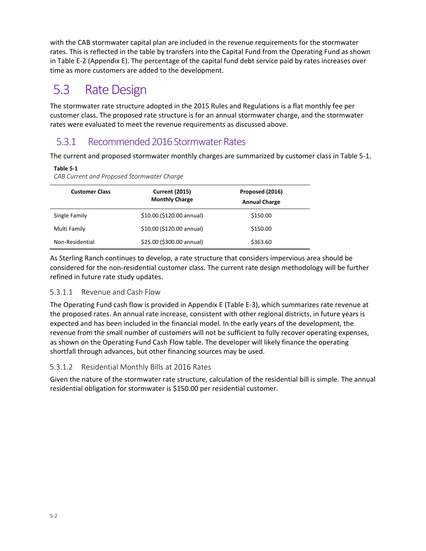with the CAB stormwater capital plan are included in the revenue requirements for the stormwater rates. This is reflected in the table by transfers into the Capital Fund from the Operating Fund as shown in Table E‐2 (Appendix E). The percentage of the capital fund debt service paid by rates increases over time as more customers are added to the development.

# 5.3 Rate Design

The stormwater rate structure adopted in the 2015 Rules and Regulations is a flat monthly fee per customer class. The proposed rate structure is for an annual stormwater charge, and the stormwater rates were evaluated to meet the revenue requirements as discussed above.

## 5.3.1 Recommended 2016 Stormwater Rates

The current and proposed stormwater monthly charges are summarized by customer class in Table 5‐1.

#### **Table 5‐1**

*CAB Current and Proposed Stormwater Charge*

| <b>Customer Class</b> | <b>Current (2015)</b><br><b>Monthly Charge</b> | Proposed (2016)<br><b>Annual Charge</b> |
|-----------------------|------------------------------------------------|-----------------------------------------|
| Single Family         | \$10.00 (\$120.00 annual)                      | \$150.00                                |
| Multi Family          | \$10.00 (\$120.00 annual)                      | \$150.00                                |
| Non-Residential       | \$25.00 (\$300.00 annual)                      | \$363.60                                |

As Sterling Ranch continues to develop, a rate structure that considers impervious area should be considered for the non‐residential customer class. The current rate design methodology will be further refined in future rate study updates.

#### 5.3.1.1 Revenue and Cash Flow

The Operating Fund cash flow is provided in Appendix E (Table E‐3), which summarizes rate revenue at the proposed rates. An annual rate increase, consistent with other regional districts, in future years is expected and has been included in the financial model. In the early years of the development, the revenue from the small number of customers will not be sufficient to fully recover operating expenses, as shown on the Operating Fund Cash Flow table. The developer will likely finance the operating shortfall through advances, but other financing sources may be used.

#### 5.3.1.2 Residential Monthly Bills at 2016 Rates

Given the nature of the stormwater rate structure, calculation of the residential bill is simple. The annual residential obligation for stormwater is \$150.00 per residential customer.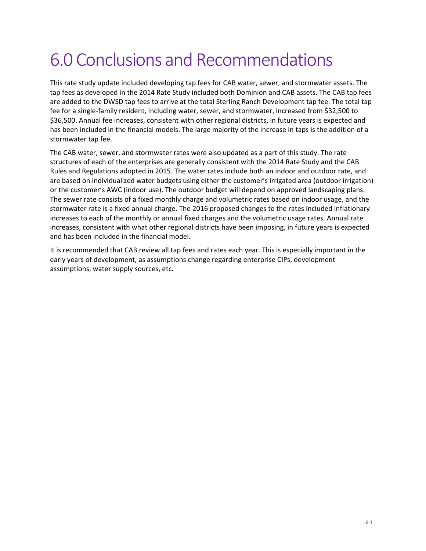# 6.0 Conclusions and Recommendations

This rate study update included developing tap fees for CAB water, sewer, and stormwater assets. The tap fees as developed in the 2014 Rate Study included both Dominion and CAB assets. The CAB tap fees are added to the DWSD tap fees to arrive at the total Sterling Ranch Development tap fee. The total tap fee for a single‐family resident, including water, sewer, and stormwater, increased from \$32,500 to \$36,500. Annual fee increases, consistent with other regional districts, in future years is expected and has been included in the financial models. The large majority of the increase in taps is the addition of a stormwater tap fee.

The CAB water, sewer, and stormwater rates were also updated as a part of this study. The rate structures of each of the enterprises are generally consistent with the 2014 Rate Study and the CAB Rules and Regulations adopted in 2015. The water rates include both an indoor and outdoor rate, and are based on individualized water budgets using either the customer's irrigated area (outdoor irrigation) or the customer's AWC (indoor use). The outdoor budget will depend on approved landscaping plans. The sewer rate consists of a fixed monthly charge and volumetric rates based on indoor usage, and the stormwater rate is a fixed annual charge. The 2016 proposed changes to the rates included inflationary increases to each of the monthly or annual fixed charges and the volumetric usage rates. Annual rate increases, consistent with what other regional districts have been imposing, in future years is expected and has been included in the financial model.

It is recommended that CAB review all tap fees and rates each year. This is especially important in the early years of development, as assumptions change regarding enterprise CIPs, development assumptions, water supply sources, etc.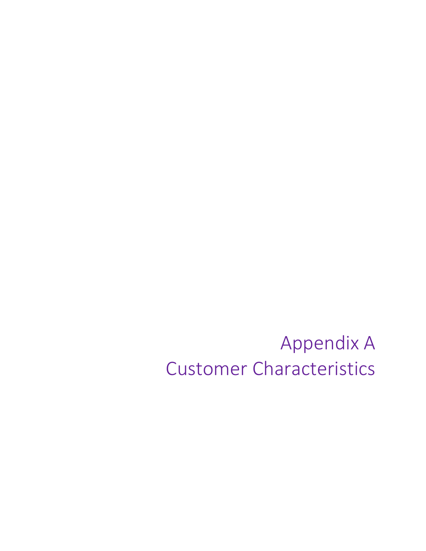Appendix A Customer Characteristics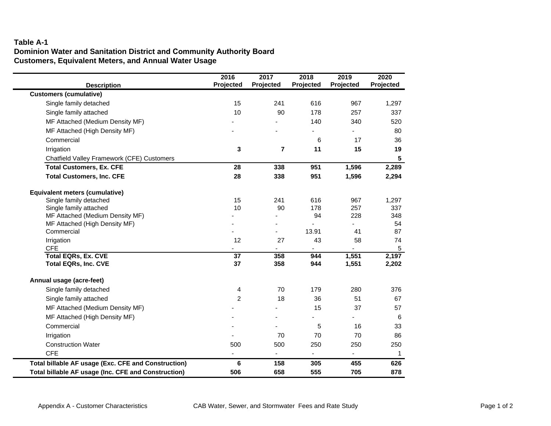#### **Table A-1 Dominion Water and Sanitation District and Community Authority BoardCustomers, Equivalent Meters, and Annual Water Usage**

|                                                     | 2016                     | 2017           | 2018      | 2019      | 2020       |
|-----------------------------------------------------|--------------------------|----------------|-----------|-----------|------------|
| <b>Description</b>                                  | Projected                | Projected      | Projected | Projected | Projected  |
| <b>Customers (cumulative)</b>                       |                          |                |           |           |            |
| Single family detached                              | 15                       | 241            | 616       | 967       | 1,297      |
| Single family attached                              | 10                       | 90             | 178       | 257       | 337        |
| MF Attached (Medium Density MF)                     |                          |                | 140       | 340       | 520        |
| MF Attached (High Density MF)                       |                          |                |           |           | 80         |
| Commercial                                          |                          |                | 6         | 17        | 36         |
| Irrigation                                          | 3                        | $\overline{7}$ | 11        | 15        | 19         |
| Chatfield Valley Framework (CFE) Customers          |                          |                |           |           | 5          |
| <b>Total Customers, Ex. CFE</b>                     | 28                       | 338            | 951       | 1,596     | 2,289      |
| <b>Total Customers, Inc. CFE</b>                    | 28                       | 338            | 951       | 1,596     | 2,294      |
| <b>Equivalent meters (cumulative)</b>               |                          |                |           |           |            |
| Single family detached                              | 15                       | 241            | 616       | 967       | 1,297      |
| Single family attached                              | 10                       | 90             | 178       | 257       | 337        |
| MF Attached (Medium Density MF)                     |                          |                | 94        | 228       | 348        |
| MF Attached (High Density MF)                       |                          |                |           |           | 54         |
| Commercial                                          |                          |                | 13.91     | 41        | 87         |
| Irrigation                                          | 12                       | 27             | 43        | 58        | 74         |
| <b>CFE</b><br><b>Total EQRs, Ex. CVE</b>            | $\overline{37}$          | 358            | 944       | 1,551     | 5<br>2,197 |
| <b>Total EQRs, Inc. CVE</b>                         | 37                       | 358            | 944       | 1,551     | 2,202      |
| Annual usage (acre-feet)                            |                          |                |           |           |            |
| Single family detached                              | 4                        | 70             | 179       | 280       | 376        |
| Single family attached                              | $\overline{2}$           | 18             | 36        | 51        | 67         |
| MF Attached (Medium Density MF)                     |                          |                | 15        | 37        | 57         |
| MF Attached (High Density MF)                       |                          |                |           |           | 6          |
| Commercial                                          |                          |                | 5         | 16        | 33         |
| Irrigation                                          |                          | 70             | 70        | 70        | 86         |
| <b>Construction Water</b>                           | 500                      | 500            | 250       | 250       | 250        |
| <b>CFE</b>                                          | $\overline{\phantom{a}}$ |                |           |           | 1          |
| Total billable AF usage (Exc. CFE and Construction) | 6                        | 158            | 305       | 455       | 626        |
| Total billable AF usage (Inc. CFE and Construction) | 506                      | 658            | 555       | 705       | 878        |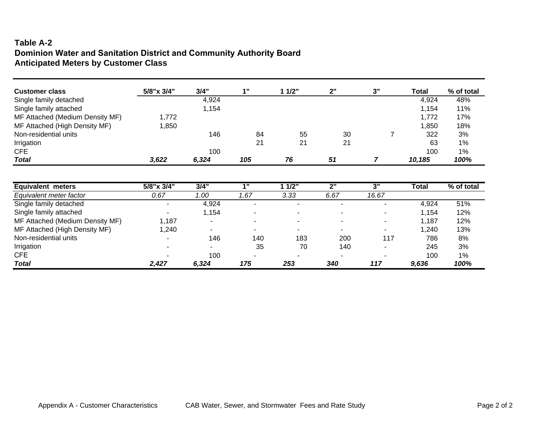#### **Table A-2 Dominion Water and Sanitation District and Community Authority Board Anticipated Meters by Customer Class**

| <b>Customer class</b>           | 5/8"x 3/4"     | 3/4"  | 1"             | 11/2"          | 2"   | 3"             | Total  | % of total |
|---------------------------------|----------------|-------|----------------|----------------|------|----------------|--------|------------|
| Single family detached          |                | 4,924 |                |                |      |                | 4,924  | 48%        |
| Single family attached          |                | 1,154 |                |                |      |                | 1,154  | 11%        |
| MF Attached (Medium Density MF) | 1,772          |       |                |                |      |                | 1,772  | 17%        |
| MF Attached (High Density MF)   | 1,850          |       |                |                |      |                | 1,850  | 18%        |
| Non-residential units           |                | 146   | 84             | 55             | 30   |                | 322    | 3%         |
| Irrigation                      |                |       | 21             | 21             | 21   |                | 63     | $1\%$      |
| <b>CFE</b>                      |                | 100   |                |                |      |                | 100    | $1\%$      |
| <b>Total</b>                    | 3,622          | 6,324 | 105            | 76             | 51   | 7              | 10,185 | 100%       |
| <b>Equivalent meters</b>        | 5/8"x 3/4"     | 3/4"  | 1"             | 11/2"          | 2"   | 3"             | Total  | % of total |
| Equivalent meter factor         | 0.67           | 1.00  | 1.67           | 3.33           | 6.67 | 16.67          |        |            |
| Single family detached          | $\blacksquare$ | 4,924 | $\blacksquare$ | $\blacksquare$ |      |                | 4,924  | 51%        |
| Single family attached          |                | 1,154 |                |                |      |                | 1,154  | 12%        |
| MF Attached (Medium Density MF) | 1,187          | ۰     | $\blacksquare$ | ٠              |      | $\blacksquare$ | 1,187  | 12%        |
| MF Attached (High Density MF)   | 1,240          |       |                |                |      |                | 1,240  | 13%        |
| Non-residential units           | ٠              | 146   | 140            | 183            | 200  | 117            | 786    | 8%         |
| Irrigation                      | ۰              |       | 35             | 70             | 140  |                | 245    | 3%         |
| <b>CFE</b>                      |                | 100   |                |                |      |                | 100    | $1\%$      |
| <b>Total</b>                    | 2,427          | 6,324 | 175            | 253            | 340  | 117            | 9,636  | 100%       |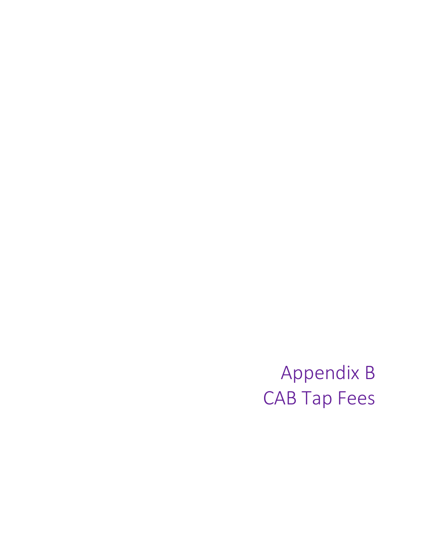Appendix B CAB Tap Fees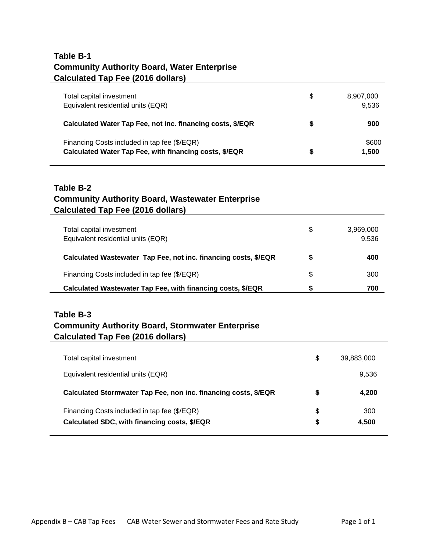#### **Table B-1 Community Authority Board, Water Enterprise Calculated Tap Fee (2016 dollars)**

| Total capital investment<br>Equivalent residential units (EQR)                                         | S | 8,907,000<br>9.536 |
|--------------------------------------------------------------------------------------------------------|---|--------------------|
| Calculated Water Tap Fee, not inc. financing costs, \$/EQR                                             | S | 900                |
| Financing Costs included in tap fee (\$/EQR)<br>Calculated Water Tap Fee, with financing costs, \$/EQR | S | \$600<br>1,500     |

#### **Table B-2 Community Authority Board, Wastewater Enterprise Calculated Tap Fee (2016 dollars)**

| Total capital investment<br>Equivalent residential units (EQR)  | \$ | 3,969,000<br>9,536 |
|-----------------------------------------------------------------|----|--------------------|
| Calculated Wastewater Tap Fee, not inc. financing costs, \$/EQR | S  | 400                |
| Financing Costs included in tap fee (\$/EQR)                    | \$ | 300                |
| Calculated Wastewater Tap Fee, with financing costs, \$/EQR     | S  | 700                |

#### **Table B-3 Community Authority Board, Stormwater Enterprise Calculated Tap Fee (2016 dollars)**

| Total capital investment                                                                     | S      | 39,883,000   |
|----------------------------------------------------------------------------------------------|--------|--------------|
| Equivalent residential units (EQR)                                                           |        | 9,536        |
| Calculated Stormwater Tap Fee, non inc. financing costs, \$/EQR                              | S      | 4.200        |
| Financing Costs included in tap fee (\$/EQR)<br>Calculated SDC, with financing costs, \$/EQR | S<br>S | 300<br>4.500 |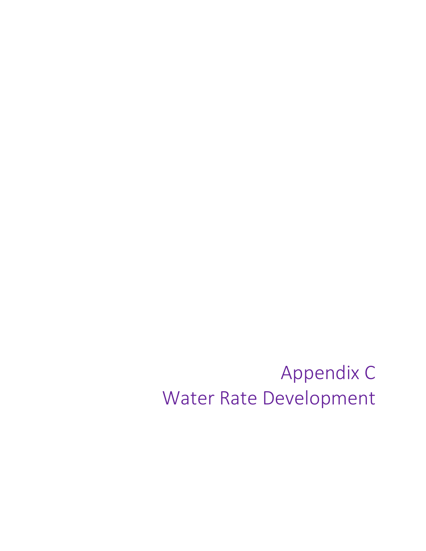Appendix C Water Rate Development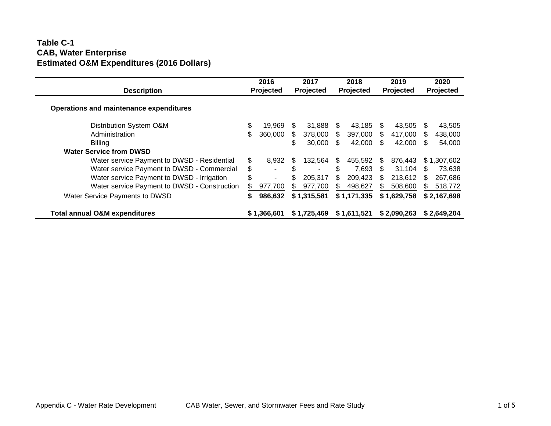#### **Table C-1 CAB, Water Enterprise Estimated O&M Expenditures (2016 Dollars)**

| <b>Description</b>                           |     | 2016<br><b>Projected</b> |     | 2017<br>Projected        |     | 2018<br><b>Projected</b> |     | 2019<br>Projected |     | 2020<br>Projected |
|----------------------------------------------|-----|--------------------------|-----|--------------------------|-----|--------------------------|-----|-------------------|-----|-------------------|
| Operations and maintenance expenditures      |     |                          |     |                          |     |                          |     |                   |     |                   |
| Distribution System O&M                      | \$  | 19.969                   | \$. | 31.888                   | \$. | 43.185                   | -SS | 43.505            | \$. | 43,505            |
| Administration                               | \$. | 360,000                  | \$. | 378,000                  | S   | 397,000                  | \$. | 417,000           | \$. | 438,000           |
| <b>Billing</b>                               |     |                          | \$. | 30,000                   | S   | 42.000                   | -SS | 42,000            | \$. | 54,000            |
| <b>Water Service from DWSD</b>               |     |                          |     |                          |     |                          |     |                   |     |                   |
| Water service Payment to DWSD - Residential  | \$  | 8.932                    | -SS | 132.564                  | S.  | 455.592                  | S.  | 876.443           |     | \$1,307,602       |
| Water service Payment to DWSD - Commercial   | \$  | ٠                        | \$  | $\overline{\phantom{0}}$ | \$  | 7,693                    | S.  | 31,104            | \$  | 73,638            |
| Water service Payment to DWSD - Irrigation   | \$  | $\blacksquare$           |     | 205.317                  | \$  | 209.423                  | \$. | 213.612           | S   | 267,686           |
| Water service Payment to DWSD - Construction | S   | 977,700                  | \$  | 977,700                  | S.  | 498,627                  |     | 508,600           | SS. | 518,772           |
| Water Service Payments to DWSD               | \$  | 986,632                  |     | \$1,315,581              |     | \$1,171,335              |     | \$1,629,758       |     | \$2,167,698       |
| <b>Total annual O&amp;M expenditures</b>     |     | \$1,366,601              |     | \$1,725,469              |     | \$1,611,521              |     | \$2,090,263       |     | \$2,649,204       |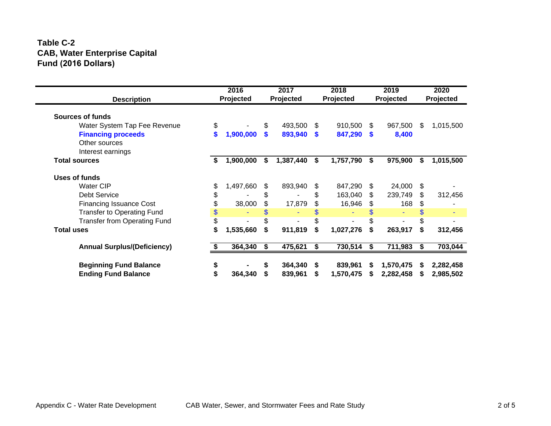#### **Table C-2 CAB, Water Enterprise Capital Fund (2016 Dollars)**

| <b>Description</b>                  | 2016<br>Projected |    | 2017<br>Projected |          | 2018<br>Projected |    | 2019<br>Projected |     | 2020<br>Projected |
|-------------------------------------|-------------------|----|-------------------|----------|-------------------|----|-------------------|-----|-------------------|
| Sources of funds                    |                   |    |                   |          |                   |    |                   |     |                   |
| Water System Tap Fee Revenue        | \$                | \$ | 493,500           | \$       | 910,500           | \$ | 967,500           | \$  | 1,015,500         |
| <b>Financing proceeds</b>           | \$<br>1,900,000   | \$ | 893,940           | <b>S</b> | 847,290           | \$ | 8,400             |     |                   |
| Other sources                       |                   |    |                   |          |                   |    |                   |     |                   |
| Interest earnings                   |                   |    |                   |          |                   |    |                   |     |                   |
| <b>Total sources</b>                | \$<br>1,900,000   | \$ | 1,387,440         | \$       | 1,757,790         | \$ | 975,900           | \$  | 1,015,500         |
| Uses of funds                       |                   |    |                   |          |                   |    |                   |     |                   |
| <b>Water CIP</b>                    | \$<br>1,497,660   | \$ | 893,940           | \$       | 847,290           | \$ | 24,000            | \$  |                   |
| <b>Debt Service</b>                 |                   | \$ |                   |          | 163,040           | \$ | 239,749           | S   | 312,456           |
| <b>Financing Issuance Cost</b>      | 38,000            | \$ | 17,879            |          | 16,946            | \$ | 168               | \$. |                   |
| <b>Transfer to Operating Fund</b>   | \$                |    |                   |          |                   |    |                   |     |                   |
| <b>Transfer from Operating Fund</b> |                   |    |                   |          |                   |    |                   |     |                   |
| <b>Total uses</b>                   | \$<br>1,535,660   | \$ | 911,819           | S        | 1,027,276         | \$ | 263,917           | S   | 312,456           |
| <b>Annual Surplus/(Deficiency)</b>  | 364,340           | S  | 475,621           | S        | 730,514           | S  | 711,983           | S   | 703,044           |
| <b>Beginning Fund Balance</b>       | \$                | \$ | 364,340           | S.       | 839,961           | S  | 1,570,475         |     | 2,282,458         |
| <b>Ending Fund Balance</b>          | 364,340           |    | 839,961           | \$       | 1,570,475         | S  | 2,282,458         |     | 2,985,502         |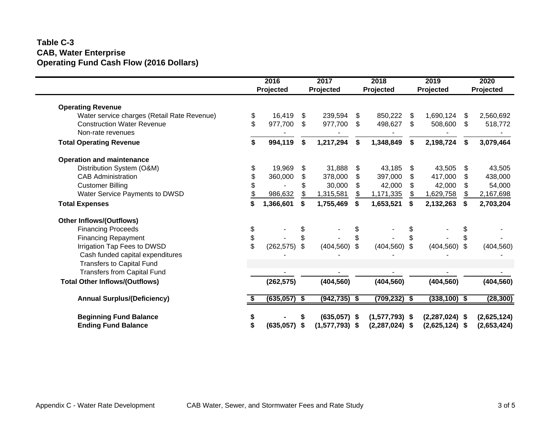#### **Table C-3 CAB, Water Enterprise Operating Fund Cash Flow (2016 Dollars)**

|                                             |                | 2016<br>Projected |     | 2017<br>Projected |                | 2018<br>Projected |    | 2019<br>Projected |     | 2020<br>Projected |
|---------------------------------------------|----------------|-------------------|-----|-------------------|----------------|-------------------|----|-------------------|-----|-------------------|
| <b>Operating Revenue</b>                    |                |                   |     |                   |                |                   |    |                   |     |                   |
| Water service charges (Retail Rate Revenue) | \$             | 16,419            | \$. | 239,594           | \$             | 850,222           | \$ | 1,690,124         | \$  | 2,560,692         |
| <b>Construction Water Revenue</b>           | \$             | 977,700           | \$  | 977,700           | \$             | 498,627           | \$ | 508,600           | S.  | 518,772           |
| Non-rate revenues                           |                |                   |     |                   |                |                   |    |                   |     |                   |
| <b>Total Operating Revenue</b>              | \$             | 994,119           | \$  | 1,217,294         | \$             | 1,348,849         | \$ | 2,198,724         | \$  | 3,079,464         |
| <b>Operation and maintenance</b>            |                |                   |     |                   |                |                   |    |                   |     |                   |
| Distribution System (O&M)                   | \$             | 19,969            | \$  | 31,888            | \$             | 43,185            | \$ | 43,505            | \$  | 43,505            |
| <b>CAB Administration</b>                   | \$             | 360,000           | \$  | 378,000           | \$             | 397,000           | S  | 417,000           | S   | 438,000           |
| <b>Customer Billing</b>                     |                |                   | \$  | 30,000            | \$             | 42,000            | \$ | 42,000            | \$. | 54,000            |
| Water Service Payments to DWSD              |                | 986,632           | \$  | 1,315,581         | \$             | 1,171,335         | \$ | 1,629,758         | \$  | 2,167,698         |
| <b>Total Expenses</b>                       | \$             | 1,366,601         | \$  | 1,755,469         | \$             | 1,653,521         | \$ | 2,132,263         | \$  | 2,703,204         |
| <b>Other Inflows/(Outflows)</b>             |                |                   |     |                   |                |                   |    |                   |     |                   |
| <b>Financing Proceeds</b>                   | \$             |                   | \$  |                   | \$             |                   |    |                   | \$  |                   |
| <b>Financing Repayment</b>                  | \$             |                   | \$  |                   | \$             |                   |    |                   |     |                   |
| Irrigation Tap Fees to DWSD                 | $\mathfrak{S}$ | (262, 575)        | \$  | (404, 560)        | $\mathfrak{S}$ | $(404, 560)$ \$   |    | (404, 560)        | \$  | (404, 560)        |
| Cash funded capital expenditures            |                |                   |     |                   |                |                   |    |                   |     |                   |
| <b>Transfers to Capital Fund</b>            |                |                   |     |                   |                |                   |    |                   |     |                   |
| <b>Transfers from Capital Fund</b>          |                |                   |     |                   |                |                   |    |                   |     |                   |
| <b>Total Other Inflows/(Outflows)</b>       |                | (262, 575)        |     | (404, 560)        |                | (404, 560)        |    | (404, 560)        |     | (404, 560)        |
| <b>Annual Surplus/(Deficiency)</b>          |                | $(635,057)$ \$    |     | $(942, 735)$ \$   |                | $(709, 232)$ \$   |    | $(338, 100)$ \$   |     | (28, 300)         |
| <b>Beginning Fund Balance</b>               |                |                   |     | $(635,057)$ \$    |                | $(1,577,793)$ \$  |    | $(2,287,024)$ \$  |     | (2,625,124)       |
| <b>Ending Fund Balance</b>                  | \$             | (635, 057)        | \$  | $(1,577,793)$ \$  |                | $(2,287,024)$ \$  |    | $(2,625,124)$ \$  |     | (2,653,424)       |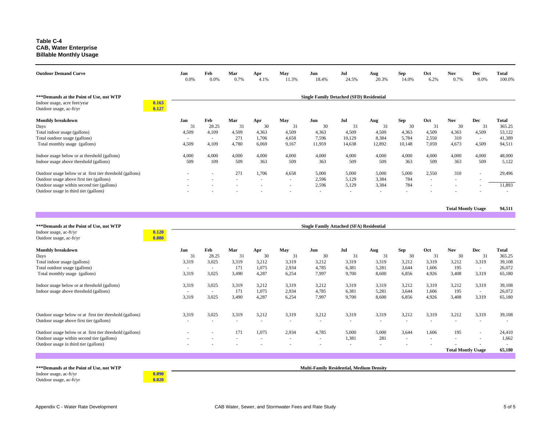#### **Table C-4 CAB, Water EnterpriseBillable Monthly Usage**

| <b>Outdoor Demand Curve</b>                                                                                                                                                                                                           | Jan<br>$0.0\%$                    | Feb<br>0.0%                     | Mar<br>0.7%               | Apr<br>4.1%                 | May<br>11.3%                                       | Jun<br>18.4%                                     | Jul<br>24.5%                                     | Aug<br>20.3%                   | <b>Sep</b><br>14.0%         | Oct<br>6.2%                                        | <b>Nov</b><br>0.7%                          | Dec<br>0.0%                  | <b>Total</b><br>100.0%              |
|---------------------------------------------------------------------------------------------------------------------------------------------------------------------------------------------------------------------------------------|-----------------------------------|---------------------------------|---------------------------|-----------------------------|----------------------------------------------------|--------------------------------------------------|--------------------------------------------------|--------------------------------|-----------------------------|----------------------------------------------------|---------------------------------------------|------------------------------|-------------------------------------|
| *** Demands at the Point of Use, not WTP<br>0.163<br>Indoor usage, acre feet/year<br>0.127<br>Outdoor usage, ac-ft/yr                                                                                                                 |                                   |                                 |                           |                             |                                                    | <b>Single Family Detached (SFD) Residential</b>  |                                                  |                                |                             |                                                    |                                             |                              |                                     |
| Monthly breakdown<br>Days<br>Total indoor usage (gallons)<br>Total outdoor usage (gallons)                                                                                                                                            | Jan<br>31<br>4,509<br>$\sim$      | Feb<br>28.25<br>4,109           | Mar<br>31<br>4.509<br>271 | Apr<br>30<br>4.363<br>1,706 | May<br>31<br>4,509<br>4,658                        | Jun<br>30<br>4,363<br>7,596                      | Jul<br>31<br>4.509<br>10,129                     | Aug<br>31<br>4,509<br>8,384    | Sep<br>30<br>4,363<br>5,784 | Oct<br>31<br>4,509<br>2,550                        | <b>Nov</b><br>30<br>4,363<br>310            | Dec<br>31<br>4,509<br>$\sim$ | Total<br>365.25<br>53,122<br>41,389 |
| Total monthly usage (gallons)<br>Indoor usage below or at threshold (gallons)                                                                                                                                                         | 4,509<br>4,000                    | 4,109<br>4,000                  | 4,780<br>4,000            | 6,069<br>4.000              | 9,167<br>4,000                                     | 11,959<br>4,000                                  | 14,638<br>4,000                                  | 12,892<br>4,000                | 10,148<br>4,000             | 7,059<br>4,000                                     | 4,673<br>4,000                              | 4,509<br>4,000               | 94,511<br>48,000                    |
| Indoor usage above threshold (gallons)<br>Outdoor usage below or at first tier threshold (gallons)<br>Outdoor usage above first tier (gallons)<br>Outdoor usage within second tier (gallons)<br>Outdoor usage in third tier (gallons) | 509<br>$\sim$<br>$\sim$<br>$\sim$ | 109<br>$\overline{\phantom{a}}$ | 509<br>271<br>$\sim$<br>٠ | 363<br>1,706<br>٠           | 509<br>4,658<br>$\sim$<br>$\overline{\phantom{a}}$ | 363<br>5,000<br>2,596<br>2,596<br>$\blacksquare$ | 509<br>5,000<br>5,129<br>5,129<br>$\overline{a}$ | 509<br>5,000<br>3,384<br>3,384 | 363<br>5,000<br>784<br>784  | 509<br>2,550<br>$\overline{\phantom{a}}$<br>$\sim$ | 363<br>310<br>٠<br>$\overline{\phantom{a}}$ | 509<br>$\sim$                | 5,122<br>29,496<br>11,893           |

**Total Montly Usage 94,511** 

| *** Demands at the Point of Use, not WTP<br>Indoor usage, ac-ft/yr<br>Outdoor usage, ac-ft/yr | 0.120<br>0.080 |                          |        |        |                          |                          | <b>Single Family Attached (SFA) Residential</b> |       |                          |                          |        |                           |                          |        |
|-----------------------------------------------------------------------------------------------|----------------|--------------------------|--------|--------|--------------------------|--------------------------|-------------------------------------------------|-------|--------------------------|--------------------------|--------|---------------------------|--------------------------|--------|
| <b>Monthly breakdown</b>                                                                      |                | Jan                      | Feb    | Mar    | Apr                      | May                      | Jun                                             | Jul   | Aug                      | <b>Sep</b>               | Oct    | <b>Nov</b>                | Dec                      | Total  |
| Days                                                                                          |                | 31                       | 28.25  | 31     | 30                       | 31                       | 30                                              | 31    | 31                       | 30                       | 31     | 30                        | 31                       | 365.25 |
| Total indoor usage (gallons)                                                                  |                | 3,319                    | 3,025  | 3,319  | 3.212                    | 3,319                    | 3,212                                           | 3,319 | 3,319                    | 3,212                    | 3,319  | 3,212                     | 3,319                    | 39,108 |
| Total outdoor usage (gallons)                                                                 |                |                          | $\sim$ | 171    | 1,075                    | 2,934                    | 4,785                                           | 6,381 | 5,281                    | 3,644                    | 1,606  | 195                       | $\sim$                   | 26,072 |
| Total monthly usage (gallons)                                                                 |                | 3,319                    | 3,025  | 3,490  | 4,287                    | 6,254                    | 7,997                                           | 9,700 | 8,600                    | 6,856                    | 4,926  | 3,408                     | 3,319                    | 65,180 |
| Indoor usage below or at threshold (gallons)                                                  |                | 3,319                    | 3,025  | 3,319  | 3,212                    | 3,319                    | 3,212                                           | 3,319 | 3,319                    | 3,212                    | 3,319  | 3,212                     | 3,319                    | 39,108 |
| Indoor usage above threshold (gallons)                                                        |                | $\overline{\phantom{a}}$ | $\sim$ | 171    | 1,075                    | 2,934                    | 4,785                                           | 6,381 | 5,281                    | 3,644                    | 1,606  | 195                       | $\sim$                   | 26,072 |
|                                                                                               |                | 3,319                    | 3,025  | 3.490  | 4.287                    | 6,254                    | 7,997                                           | 9.700 | 8,600                    | 6,856                    | 4,926  | 3,408                     | 3,319                    | 65,180 |
| Outdoor usage below or at first tier threshold (gallons)                                      |                | 3,319                    | 3,025  | 3,319  | 3,212                    | 3,319                    | 3,212                                           | 3,319 | 3,319                    | 3,212                    | 3,319  | 3,212                     | 3,319                    | 39,108 |
| Outdoor usage above first tier (gallons)                                                      |                |                          |        | ٠      | $\overline{\phantom{a}}$ | $\overline{\phantom{a}}$ | $\overline{\phantom{a}}$                        |       | $\overline{\phantom{a}}$ | $\overline{\phantom{a}}$ |        | ٠                         | $\overline{\phantom{a}}$ |        |
| Outdoor usage below or at first tier threshold (gallons)                                      |                |                          | $\sim$ | 171    | 1,075                    | 2,934                    | 4,785                                           | 5.000 | 5,000                    | 3,644                    | 1,606  | 195                       | $\sim$                   | 24,410 |
| Outdoor usage within second tier (gallons)                                                    |                |                          |        | $\sim$ | $\sim$                   | $\overline{\phantom{a}}$ | ٠                                               | 1,381 | 281                      | $\overline{\phantom{a}}$ | $\sim$ | $\overline{\phantom{a}}$  | $\overline{\phantom{a}}$ | 1,662  |
| Outdoor usage in third tier (gallons)                                                         |                |                          |        |        |                          |                          |                                                 |       |                          |                          |        |                           |                          |        |
|                                                                                               |                |                          |        |        |                          |                          |                                                 |       |                          |                          |        | <b>Total Montly Usage</b> |                          | 65,180 |
|                                                                                               |                |                          |        |        |                          |                          |                                                 |       |                          |                          |        |                           |                          |        |
| *** Demands at the Point of Use, not WTP                                                      |                |                          |        |        |                          |                          | <b>Multi-Family Residential, Medium Density</b> |       |                          |                          |        |                           |                          |        |
| Indoor usage, ac-ft/yr                                                                        | 0.090          |                          |        |        |                          |                          |                                                 |       |                          |                          |        |                           |                          |        |
| Outdoor usage, ac-ft/yr                                                                       | 0.020          |                          |        |        |                          |                          |                                                 |       |                          |                          |        |                           |                          |        |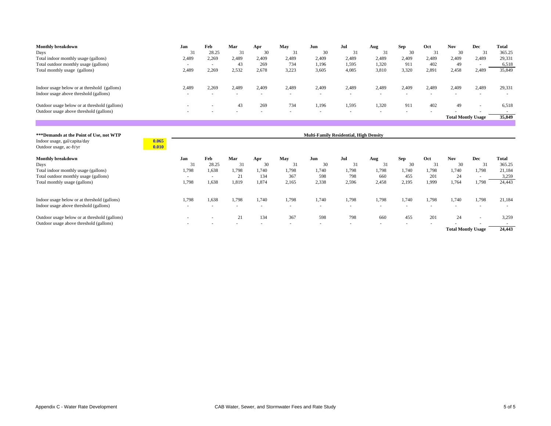| <b>Monthly breakdown</b>                                                                 | Jan            | Feb    | Mar   | Apr   | May   | Jun                                           | Jul    | Aug    | <b>Sep</b> | Oct    | <b>Nov</b>                | <b>Dec</b> | <b>Total</b> |
|------------------------------------------------------------------------------------------|----------------|--------|-------|-------|-------|-----------------------------------------------|--------|--------|------------|--------|---------------------------|------------|--------------|
| Days                                                                                     | 31             | 28.25  | 31    | 30    | 31    | 30                                            | 31     | 31     | 30         | 31     | 30                        | 31         | 365.25       |
| Total indoor monthly usage (gallons)                                                     | 2,489          | 2,269  | 2,489 | 2,409 | 2,489 | 2,409                                         | 2,489  | 2,489  | 2,409      | 2,489  | 2,409                     | 2,489      | 29,331       |
| Total outdoor monthly usage (gallons)                                                    | $\sim$         | $\sim$ | 43    | 269   | 734   | 1,196                                         | 1,595  | 1,320  | 911        | 402    | 49                        | $\sim$     | 6,518        |
| Total monthly usage (gallons)                                                            | 2,489          | 2,269  | 2,532 | 2.678 | 3,223 | 3,605                                         | 4.085  | 3.810  | 3,320      | 2,891  | 2,458                     | 2,489      | 35,849       |
| Indoor usage below or at threshold (gallons)                                             | 2,489          | 2,269  | 2,489 | 2,409 | 2,489 | 2,409                                         | 2,489  | 2,489  | 2,409      | 2,489  | 2,409                     | 2,489      | 29,331       |
| Indoor usage above threshold (gallons)                                                   |                |        |       |       |       | ٠                                             |        |        |            |        |                           |            |              |
| Outdoor usage below or at threshold (gallons)<br>Outdoor usage above threshold (gallons) |                |        | 43    | 269   | 734   | 1,196                                         | 1,595  | 1,320  | 911        | 402    | 49                        |            | 6,518        |
|                                                                                          |                |        |       |       |       |                                               |        |        |            |        | <b>Total Montly Usage</b> |            | 35,849       |
|                                                                                          |                |        |       |       |       |                                               |        |        |            |        |                           |            |              |
| *** Demands at the Point of Use, not WTP                                                 |                |        |       |       |       | <b>Multi-Family Residential, High Density</b> |        |        |            |        |                           |            |              |
| Indoor usage, gal/capita/day<br>Outdoor usage, ac-ft/yr                                  | 0.065<br>0.010 |        |       |       |       |                                               |        |        |            |        |                           |            |              |
| <b>Monthly breakdown</b>                                                                 | Jan            | Feb    | Mar   | Apr   | May   | Jun                                           | Jul    | Aug    | Sep        | Oct    | <b>Nov</b>                | Dec        | <b>Total</b> |
| Days                                                                                     | 31             | 28.25  | 31    | 30    | 31    | 30                                            | 31     | 31     | 30         | 31     | 30                        | 31         | 365.25       |
| Total indoor monthly usage (gallons)                                                     | 1,798          | 1,638  | 1,798 | 1,740 | 1,798 | 1,740                                         | 1,798  | 1,798  | 1,740      | 1,798  | 1,740                     | 1,798      | 21,184       |
| Total outdoor monthly usage (gallons)                                                    |                | $\sim$ | 21    | 134   | 367   | 598                                           | 798    | 660    | 455        | 201    | 24                        |            | 3,259        |
| Total monthly usage (gallons)                                                            | 1,798          | 1,638  | 1,819 | 1,874 | 2,165 | 2,338                                         | 2,596  | 2,458  | 2,195      | 1,999  | 1,764                     | 1,798      | 24,443       |
| Indoor usage below or at threshold (gallons)                                             | 1,798          | 1,638  | 1,798 | 1,740 | 1,798 | 1,740                                         | 1,798  | 1,798  | 1,740      | 1,798  | 1,740                     | 1,798      | 21,184       |
| Indoor usage above threshold (gallons)                                                   |                |        | ٠     | ٠     | ٠     | $\overline{\phantom{a}}$                      | $\sim$ | $\sim$ | $\sim$     | $\sim$ | ٠                         |            |              |
| Outdoor usage below or at threshold (gallons)                                            |                |        | 21    | 134   | 367   | 598                                           | 798    | 660    | 455        | 201    | 24                        |            | 3,259        |
| Outdoor usage above threshold (gallons)                                                  |                |        |       |       |       |                                               |        |        |            |        | <b>Total Montly Usage</b> |            | 24,443       |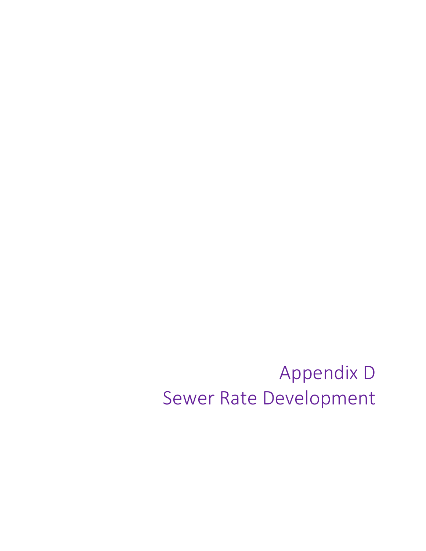Appendix D Sewer Rate Development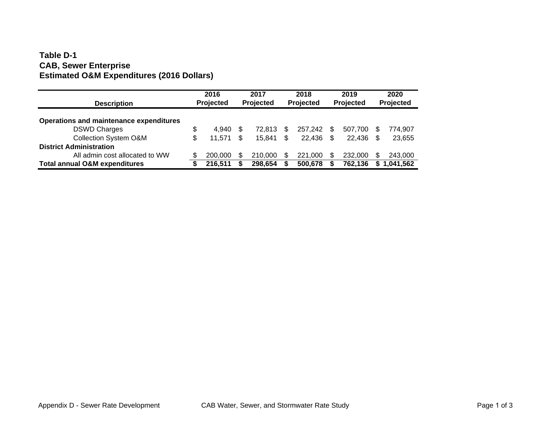#### **Table D-1CAB, Sewer Enterprise Estimated O&M Expenditures (2016 Dollars)**

| <b>Description</b>                       | 2016<br>Projected |     | 2017<br>Projected |    | 2018<br>Projected |     | 2019<br>Projected |     | 2020<br>Projected |
|------------------------------------------|-------------------|-----|-------------------|----|-------------------|-----|-------------------|-----|-------------------|
| Operations and maintenance expenditures  |                   |     |                   |    |                   |     |                   |     |                   |
| <b>DSWD Charges</b>                      | \$<br>4.940       | \$. | 72.813            | \$ | 257.242           | -SS | 507.700           | S   | 774,907           |
| <b>Collection System O&amp;M</b>         | \$<br>11,571      | \$. | 15.841            | \$ | 22.436            | \$  | 22.436            | \$  | 23,655            |
| <b>District Administration</b>           |                   |     |                   |    |                   |     |                   |     |                   |
| All admin cost allocated to WW           | 200,000           | \$. | 210,000           | S  | 221.000           | \$. | 232,000           | \$. | 243,000           |
| <b>Total annual O&amp;M expenditures</b> | 216,511           |     | 298,654           |    | 500,678           |     | 762,136           |     | 1,041,562         |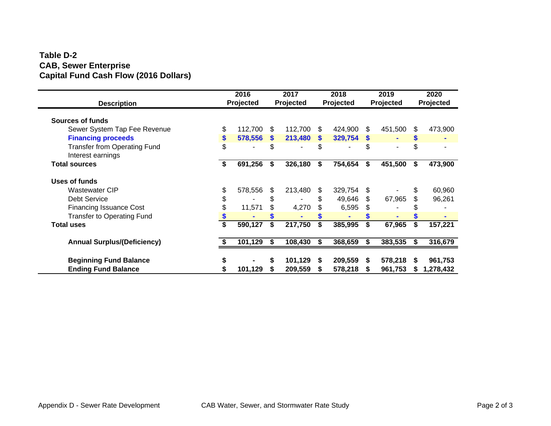#### **Table D-2 CAB, Sewer Enterprise Capital Fund Cash Flow (2016 Dollars)**

| <b>Description</b>                                       | 2016<br>Projected |     | 2017<br>Projected |     | 2018<br>Projected |             | 2019<br>Projected |     | 2020<br>Projected |
|----------------------------------------------------------|-------------------|-----|-------------------|-----|-------------------|-------------|-------------------|-----|-------------------|
|                                                          |                   |     |                   |     |                   |             |                   |     |                   |
| Sources of funds                                         |                   |     |                   |     |                   |             |                   |     |                   |
| Sewer System Tap Fee Revenue                             | \$<br>112,700     | \$  | 112,700           | \$  | 424,900           | \$          | 451,500           | \$. | 473,900           |
| <b>Financing proceeds</b>                                | \$<br>578,556     | \$. | 213,480           | \$. | 329,754           | <b>S</b>    |                   |     |                   |
| <b>Transfer from Operating Fund</b><br>Interest earnings | \$                | \$. |                   | \$. |                   | \$          |                   | \$  |                   |
| <b>Total sources</b>                                     | 691,256           | Ŝ.  | 326,180           | \$  | 754,654           | $$^{\circ}$ | 451,500           | \$  | 473,900           |
| Uses of funds                                            |                   |     |                   |     |                   |             |                   |     |                   |
| <b>Wastewater CIP</b>                                    | \$<br>578,556     | \$. | 213,480           | \$. | 329,754           | \$          |                   | \$  | 60,960            |
| <b>Debt Service</b>                                      | \$                | \$  |                   | \$. | 49,646            | \$.         | 67,965            |     | 96,261            |
| <b>Financing Issuance Cost</b>                           | 11,571            | \$  | 4,270             |     | 6,595             | \$          |                   |     |                   |
| <b>Transfer to Operating Fund</b>                        |                   |     |                   |     |                   |             |                   |     |                   |
| <b>Total uses</b>                                        | 590,127           | S   | 217,750           | \$  | 385,995           |             | 67,965            | \$  | 157,221           |
| <b>Annual Surplus/(Deficiency)</b>                       | 101,129           | \$  | 108,430           | \$  | 368,659           | S           | 383,535           | S   | 316,679           |
|                                                          |                   |     |                   |     |                   |             |                   |     |                   |
| <b>Beginning Fund Balance</b>                            |                   |     | 101,129           | S   | 209,559           | S.          | 578,218           |     | 961,753           |
| <b>Ending Fund Balance</b>                               | 101,129           |     | 209,559           |     | 578,218           |             | 961,753           |     | 1,278,432         |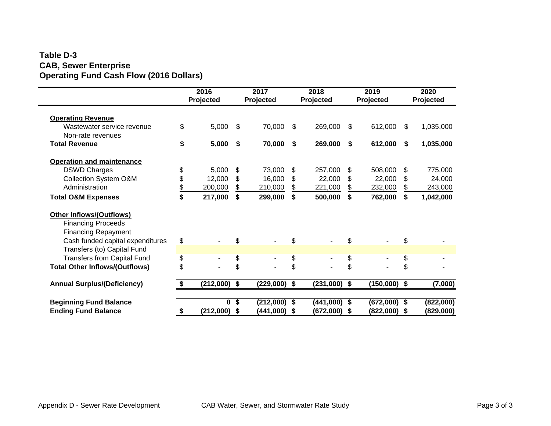#### **Table D-3 CAB, Sewer Enterprise Operating Fund Cash Flow (2016 Dollars)**

|                                                 | 2016<br>Projected    |     | 2017<br>Projected | 2018<br>Projected |                |     | 2019<br>Projected        |      | 2020<br>Projected |
|-------------------------------------------------|----------------------|-----|-------------------|-------------------|----------------|-----|--------------------------|------|-------------------|
| <b>Operating Revenue</b>                        |                      |     |                   |                   |                |     |                          |      |                   |
| Wastewater service revenue<br>Non-rate revenues | \$<br>5,000          | -\$ | 70,000            | \$                | 269,000        | \$  | 612,000                  | \$   | 1,035,000         |
| <b>Total Revenue</b>                            | \$<br>5,000          | \$  | 70,000            | \$                | 269,000        | \$  | 612,000                  | \$   | 1,035,000         |
| <b>Operation and maintenance</b>                |                      |     |                   |                   |                |     |                          |      |                   |
| <b>DSWD Charges</b>                             | \$<br>5,000          | \$  | 73,000            | \$                | 257,000        | \$  | 508,000                  | \$   | 775,000           |
| Collection System O&M                           | \$<br>12,000         | \$  | 16,000            | \$                | 22,000         | \$  | 22,000                   | \$   | 24,000            |
| Administration                                  | \$<br>200,000        | \$  | 210,000           | \$                | 221,000        | \$  | 232,000                  | \$   | 243,000           |
| <b>Total O&amp;M Expenses</b>                   | \$<br>217,000        | \$  | 299,000           | \$                | 500,000        | \$  | 762,000                  | \$   | 1,042,000         |
| Other Inflows/(Outflows)                        |                      |     |                   |                   |                |     |                          |      |                   |
| <b>Financing Proceeds</b>                       |                      |     |                   |                   |                |     |                          |      |                   |
| <b>Financing Repayment</b>                      |                      |     |                   |                   |                |     |                          |      |                   |
| Cash funded capital expenditures                | \$<br>$\blacksquare$ | \$  | $\blacksquare$    | \$                | $\blacksquare$ | \$  | $\blacksquare$           | \$   |                   |
| Transfers (to) Capital Fund                     |                      |     |                   |                   |                |     |                          |      |                   |
| <b>Transfers from Capital Fund</b>              | \$                   | \$  | ٠                 | \$                | $\blacksquare$ | \$  | $\overline{\phantom{a}}$ | \$   |                   |
| <b>Total Other Inflows/(Outflows)</b>           | \$                   | \$  |                   | \$                |                | \$  |                          | \$   |                   |
| <b>Annual Surplus/(Deficiency)</b>              | (212,000)            | \$  | (229,000)         | \$                | (231,000)      | -\$ | $(150,000)$ \$           |      | (7,000)           |
|                                                 |                      |     |                   |                   |                |     |                          |      |                   |
| <b>Beginning Fund Balance</b>                   | $\mathbf{0}$         | \$  | $(212,000)$ \$    |                   | $(441,000)$ \$ |     | $(672,000)$ \$           |      | (822,000)         |
| <b>Ending Fund Balance</b>                      | \$<br>$(212,000)$ \$ |     | (441,000)         | - \$              | (672,000) \$   |     | (822,000)                | - \$ | (829,000)         |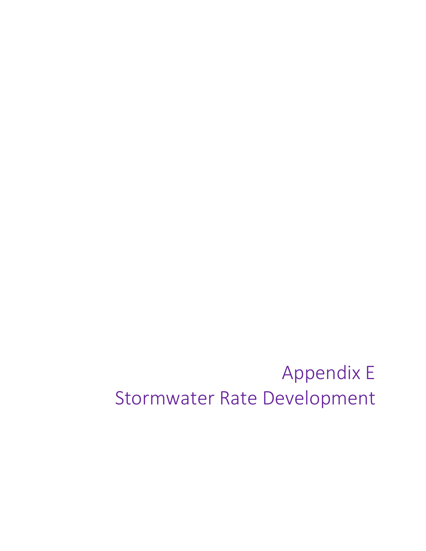# Appendix E Stormwater Rate Development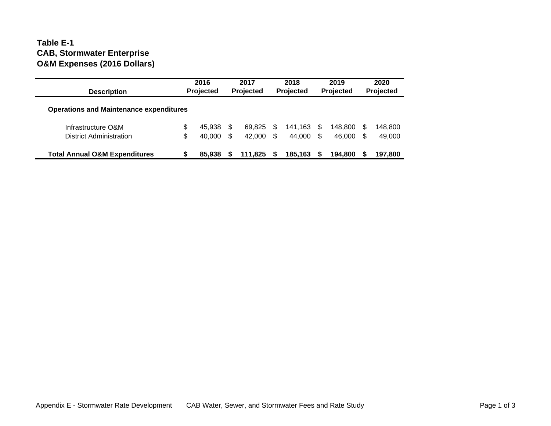#### **Table E-1 CAB, Stormwater Enterprise O&M Expenses (2016 Dollars)**

| <b>Description</b>                             | 2016<br>Projected |        |    | 2017<br>Projected |     | 2018<br>Projected |     | 2019<br><b>Projected</b> |     | 2020<br>Projected |
|------------------------------------------------|-------------------|--------|----|-------------------|-----|-------------------|-----|--------------------------|-----|-------------------|
| <b>Operations and Maintenance expenditures</b> |                   |        |    |                   |     |                   |     |                          |     |                   |
| Infrastructure O&M                             | \$                | 45,938 | S  | 69.825            |     | 141.163           | \$. | 148.800                  | \$. | 148,800           |
| District Administration                        | \$                | 40,000 | \$ | 42.000            | \$. | 44,000            | \$. | 46.000                   | \$. | 49,000            |
| <b>Total Annual O&amp;M Expenditures</b>       | S                 | 85,938 |    | 111.825           |     | 185,163           |     | 194,800                  |     | 197,800           |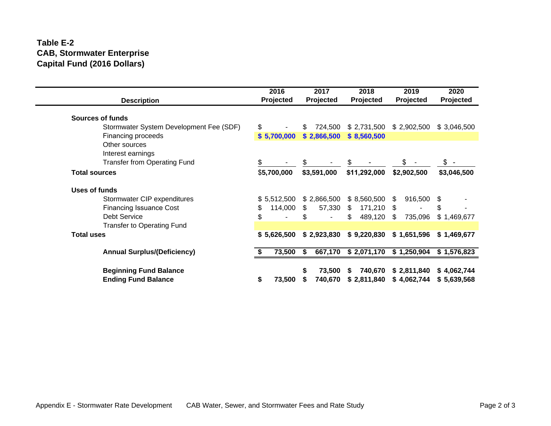#### **Table E-2 CAB, Stormwater Enterprise Capital Fund (2016 Dollars)**

| <b>Description</b>                                          | 2016<br>Projected    | 2017<br>Projected      | 2018<br>Projected            | 2019<br>Projected          | 2020<br>Projected          |
|-------------------------------------------------------------|----------------------|------------------------|------------------------------|----------------------------|----------------------------|
| <b>Sources of funds</b>                                     |                      |                        |                              |                            |                            |
| Stormwater System Development Fee (SDF)                     | \$<br>$\blacksquare$ | 724,500<br>\$          | \$2,731,500                  | \$2,902,500                | \$3,046,500                |
| Financing proceeds                                          | \$5,700,000          | \$2,866,500            | \$8,560,500                  |                            |                            |
| Other sources                                               |                      |                        |                              |                            |                            |
| Interest earnings                                           |                      |                        |                              |                            |                            |
| <b>Transfer from Operating Fund</b>                         | \$                   |                        |                              | \$                         | $s -$                      |
| <b>Total sources</b>                                        | \$5,700,000          | \$3,591,000            | \$11,292,000                 | \$2,902,500                | \$3,046,500                |
| Uses of funds                                               |                      |                        |                              |                            |                            |
| Stormwater CIP expenditures                                 | \$5,512,500          | \$2,866,500            | \$8,560,500                  | 916,500<br>-S              | \$                         |
| <b>Financing Issuance Cost</b>                              | \$<br>114,000        | \$.<br>57,330          | S.<br>171,210 \$             |                            | \$                         |
| <b>Debt Service</b>                                         | \$<br>$\blacksquare$ | S<br>$\blacksquare$    | \$<br>489,120 \$             | 735,096                    | \$1,469,677                |
| <b>Transfer to Operating Fund</b>                           |                      |                        |                              |                            |                            |
| <b>Total uses</b>                                           | \$5,626,500          | \$2,923,830            | \$9,220,830                  | \$1,651,596                | \$1,469,677                |
| <b>Annual Surplus/(Deficiency)</b>                          | 73,500               | 667,170<br>S.          | \$2,071,170                  | \$1,250,904                | \$1,576,823                |
|                                                             |                      |                        |                              |                            |                            |
| <b>Beginning Fund Balance</b><br><b>Ending Fund Balance</b> | \$<br>73,500         | 73,500<br>S<br>740,670 | 740,670<br>\$<br>\$2,811,840 | \$2,811,840<br>\$4,062,744 | \$4,062,744<br>\$5,639,568 |
|                                                             |                      |                        |                              |                            |                            |